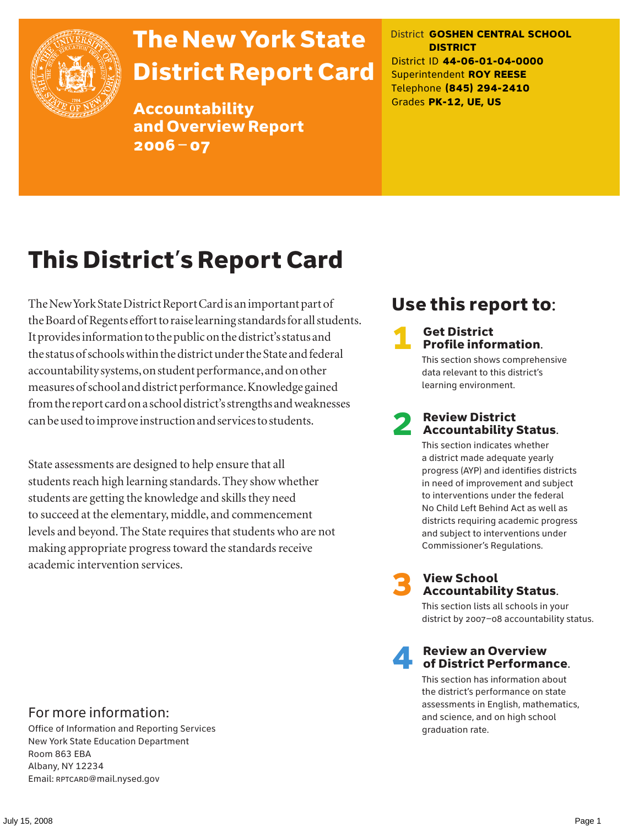

# The New York State District Report Card

Accountability and Overview Report 2006–07

District **GOSHEN CENTRAL SCHOOL DISTRICT** District ID **44-06-01-04-0000** Superintendent **ROY REESE** Telephone **(845) 294-2410** Grades **PK-12, UE, US**

# This District's Report Card

The New York State District Report Card is an important part of the Board of Regents effort to raise learning standards for all students. It provides information to the public on the district's status and the status of schools within the district under the State and federal accountability systems, on student performance, and on other measures of school and district performance. Knowledge gained from the report card on a school district's strengths and weaknesses can be used to improve instruction and services to students.

State assessments are designed to help ensure that all students reach high learning standards. They show whether students are getting the knowledge and skills they need to succeed at the elementary, middle, and commencement levels and beyond. The State requires that students who are not making appropriate progress toward the standards receive academic intervention services.

## Use this report to:

#### **Get District** Profile information.

This section shows comprehensive data relevant to this district's learning environment.

#### **Review District** Accountability Status.

This section indicates whether a district made adequate yearly progress (AYP) and identifies districts in need of improvement and subject to interventions under the federal No Child Left Behind Act as well as districts requiring academic progress and subject to interventions under Commissioner's Regulations.



# **3** View School<br>Accountability Status.

This section lists all schools in your district by 2007–08 accountability status.

#### **Review an Overview** of District Performance.

This section has information about the district's performance on state assessments in English, mathematics, and science, and on high school graduation rate.

#### For more information:

Office of Information and Reporting Services New York State Education Department Room 863 EBA Albany, NY 12234 Email: RPTCARD@mail.nysed.gov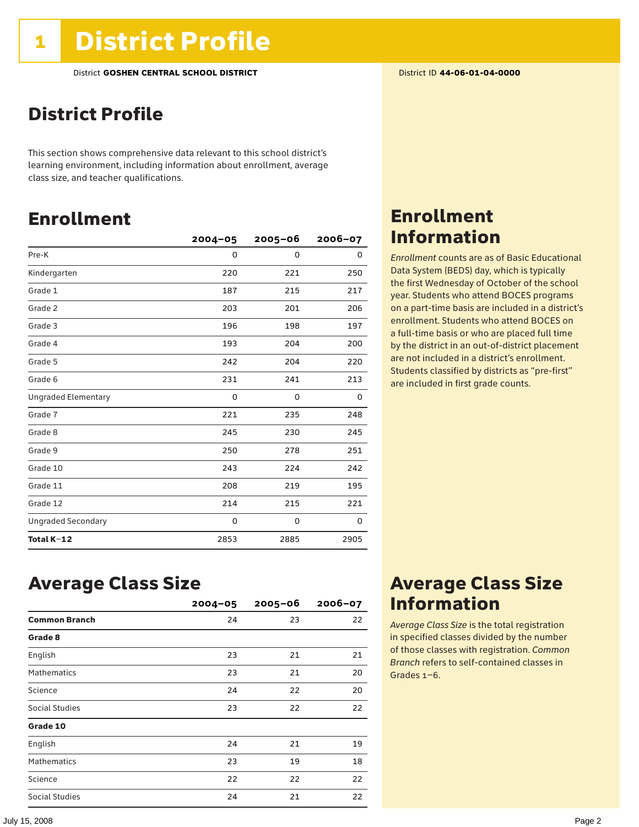### District Profile

This section shows comprehensive data relevant to this school district's learning environment, including information about enrollment, average class size, and teacher qualifications.

### Enrollment

|                            | $2004 - 05$ | $2005 - 06$ | $2006 - 07$ |
|----------------------------|-------------|-------------|-------------|
| Pre-K                      | 0           | $\mathbf 0$ | 0           |
| Kindergarten               | 220         | 221         | 250         |
| Grade 1                    | 187         | 215         | 217         |
| Grade 2                    | 203         | 201         | 206         |
| Grade 3                    | 196         | 198         | 197         |
| Grade 4                    | 193         | 204         | 200         |
| Grade 5                    | 242         | 204         | 220         |
| Grade 6                    | 231         | 241         | 213         |
| <b>Ungraded Elementary</b> | $\Omega$    | 0           | 0           |
| Grade 7                    | 221         | 235         | 248         |
| Grade 8                    | 245         | 230         | 245         |
| Grade 9                    | 250         | 278         | 251         |
| Grade 10                   | 243         | 224         | 242         |
| Grade 11                   | 208         | 219         | 195         |
| Grade 12                   | 214         | 215         | 221         |
| <b>Ungraded Secondary</b>  | 0           | 0           | 0           |
| Total K-12                 | 2853        | 2885        | 2905        |

### Enrollment Information

*Enrollment* counts are as of Basic Educational Data System (BEDS) day, which is typically the first Wednesday of October of the school year. Students who attend BOCES programs on a part-time basis are included in a district's enrollment. Students who attend BOCES on a full-time basis or who are placed full time by the district in an out-of-district placement are not included in a district's enrollment. Students classified by districts as "pre-first" are included in first grade counts.

### Average Class Size

|                      | $2004 - 05$ | $2005 - 06$ | $2006 - 07$ |
|----------------------|-------------|-------------|-------------|
| <b>Common Branch</b> | 24          | 23          | 22          |
| Grade 8              |             |             |             |
| English              | 23          | 21          | 21          |
| <b>Mathematics</b>   | 23          | 21          | 20          |
| Science              | 24          | 22          | 20          |
| Social Studies       | 23          | 22          | 22          |
| Grade 10             |             |             |             |
| English              | 24          | 21          | 19          |
| <b>Mathematics</b>   | 23          | 19          | 18          |
| Science              | 22          | 22          | 22          |
| Social Studies       | 24          | 21          | 22          |

### Average Class Size Information

*Average Class Size* is the total registration in specified classes divided by the number of those classes with registration. *Common Branch* refers to self-contained classes in Grades 1–6.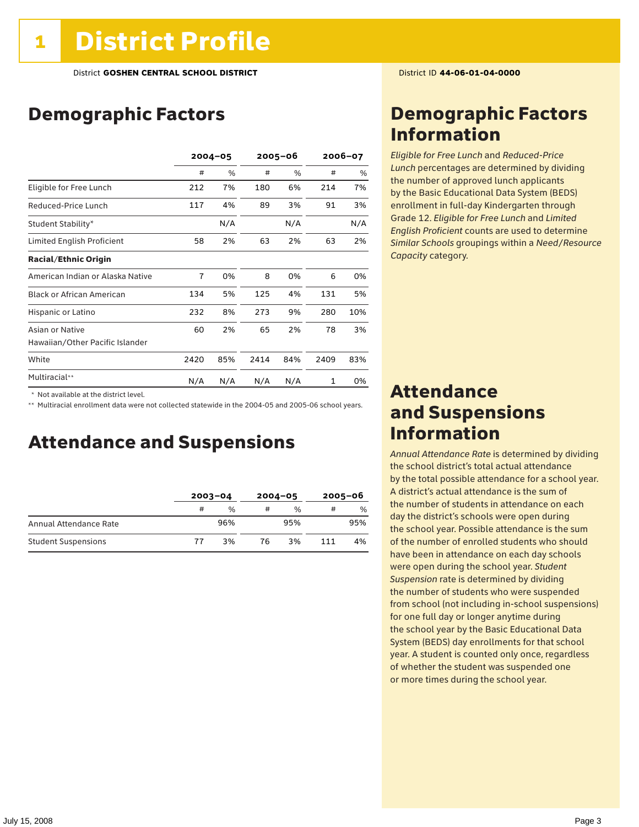### Demographic Factors

|                                  | $2004 - 05$ |     | 2005–06 |     | 2006-07 |     |
|----------------------------------|-------------|-----|---------|-----|---------|-----|
|                                  | #           | %   | #       | %   | #       | %   |
| Eligible for Free Lunch          | 212         | 7%  | 180     | 6%  | 214     | 7%  |
| Reduced-Price Lunch              | 117         | 4%  | 89      | 3%  | 91      | 3%  |
| Student Stability*               |             | N/A |         | N/A |         | N/A |
| Limited English Proficient       | 58          | 2%  | 63      | 2%  | 63      | 2%  |
| <b>Racial/Ethnic Origin</b>      |             |     |         |     |         |     |
| American Indian or Alaska Native | 7           | 0%  | 8       | 0%  | 6       | 0%  |
| <b>Black or African American</b> | 134         | 5%  | 125     | 4%  | 131     | 5%  |
| Hispanic or Latino               | 232         | 8%  | 273     | 9%  | 280     | 10% |
| Asian or Native                  | 60          | 2%  | 65      | 2%  | 78      | 3%  |
| Hawaiian/Other Pacific Islander  |             |     |         |     |         |     |
| White                            | 2420        | 85% | 2414    | 84% | 2409    | 83% |
| Multiracial**                    | N/A         | N/A | N/A     | N/A | 1       | 0%  |

 \* Not available at the district level.

\*\* Multiracial enrollment data were not collected statewide in the 2004-05 and 2005-06 school years.

### Attendance and Suspensions

|                            | $2003 - 04$ |               | $2004 - 05$ |               | $2005 - 06$ |     |
|----------------------------|-------------|---------------|-------------|---------------|-------------|-----|
|                            | #           | $\frac{0}{0}$ | #           | $\frac{0}{0}$ | #           | %   |
| Annual Attendance Rate     |             | 96%           |             | 95%           |             | 95% |
| <b>Student Suspensions</b> | 77          | 3%            | 76          | 3%            | 111         | 4%  |

### Demographic Factors Information

*Eligible for Free Lunch* and *Reduced*-*Price Lunch* percentages are determined by dividing the number of approved lunch applicants by the Basic Educational Data System (BEDS) enrollment in full-day Kindergarten through Grade 12. *Eligible for Free Lunch* and *Limited English Proficient* counts are used to determine *Similar Schools* groupings within a *Need*/*Resource Capacity* category.

### Attendance and Suspensions Information

*Annual Attendance Rate* is determined by dividing the school district's total actual attendance by the total possible attendance for a school year. A district's actual attendance is the sum of the number of students in attendance on each day the district's schools were open during the school year. Possible attendance is the sum of the number of enrolled students who should have been in attendance on each day schools were open during the school year. *Student Suspension* rate is determined by dividing the number of students who were suspended from school (not including in-school suspensions) for one full day or longer anytime during the school year by the Basic Educational Data System (BEDS) day enrollments for that school year. A student is counted only once, regardless of whether the student was suspended one or more times during the school year.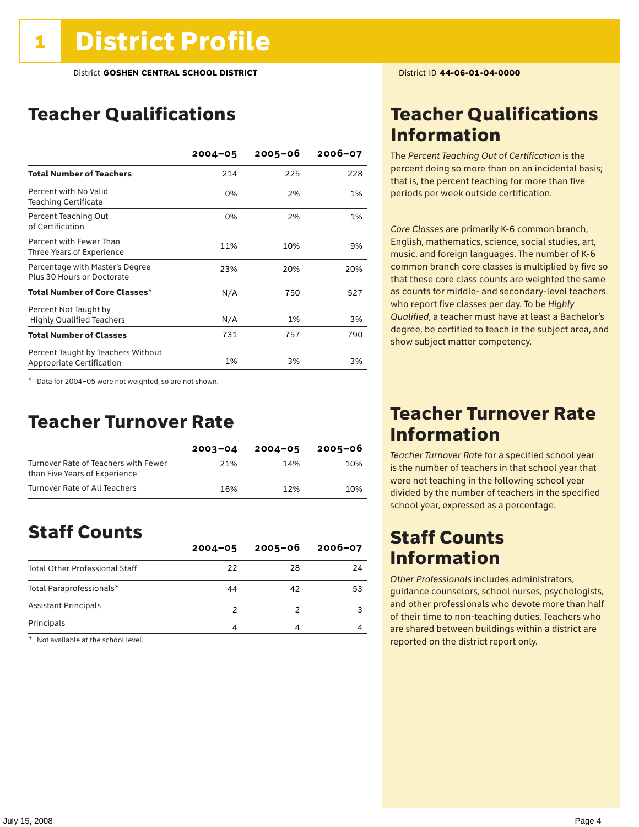### Teacher Qualifications

|                                                                 | $2004 - 05$ | $2005 - 06$ | $2006 - 07$ |
|-----------------------------------------------------------------|-------------|-------------|-------------|
| <b>Total Number of Teachers</b>                                 | 214         | 225         | 228         |
| Percent with No Valid<br><b>Teaching Certificate</b>            | 0%          | 2%          | 1%          |
| Percent Teaching Out<br>of Certification                        | 0%          | 2%          | 1%          |
| Percent with Fewer Than<br>Three Years of Experience            | 11%         | 10%         | 9%          |
| Percentage with Master's Degree<br>Plus 30 Hours or Doctorate   | 23%         | 20%         | 20%         |
| Total Number of Core Classes $^\star$                           | N/A         | 750         | 527         |
| Percent Not Taught by<br><b>Highly Qualified Teachers</b>       | N/A         | 1%          | 3%          |
| <b>Total Number of Classes</b>                                  | 731         | 757         | 790         |
| Percent Taught by Teachers Without<br>Appropriate Certification | 1%          | 3%          | 3%          |

\* Data for 2004–05 were not weighted, so are not shown.

### Teacher Turnover Rate

|                                                                       | $2003 - 04$ | $2004 - 05$ | 2005-06 |
|-----------------------------------------------------------------------|-------------|-------------|---------|
| Turnover Rate of Teachers with Fewer<br>than Five Years of Experience | 21%         | 14%         | 10%     |
| Turnover Rate of All Teachers                                         | 16%         | 12%         | 10%     |

### Staff Counts

|                                       | $2004 - 05$ | $2005 - 06$ | $2006 - 07$ |
|---------------------------------------|-------------|-------------|-------------|
| <b>Total Other Professional Staff</b> | 22          | 28          | 24          |
| Total Paraprofessionals*              | 44          | 42          | 53          |
| <b>Assistant Principals</b>           |             |             |             |
| Principals                            |             |             |             |

\* Not available at the school level.

### Teacher Qualifications Information

The *Percent Teaching Out of Certification* is the percent doing so more than on an incidental basis; that is, the percent teaching for more than five periods per week outside certification.

*Core Classes* are primarily K-6 common branch, English, mathematics, science, social studies, art, music, and foreign languages. The number of K-6 common branch core classes is multiplied by five so that these core class counts are weighted the same as counts for middle- and secondary-level teachers who report five classes per day. To be *Highly Qualified*, a teacher must have at least a Bachelor's degree, be certified to teach in the subject area, and show subject matter competency.

### Teacher Turnover Rate Information

*Teacher Turnover Rate* for a specified school year is the number of teachers in that school year that were not teaching in the following school year divided by the number of teachers in the specified school year, expressed as a percentage.

### Staff Counts Information

*Other Professionals* includes administrators, guidance counselors, school nurses, psychologists, and other professionals who devote more than half of their time to non-teaching duties. Teachers who are shared between buildings within a district are reported on the district report only.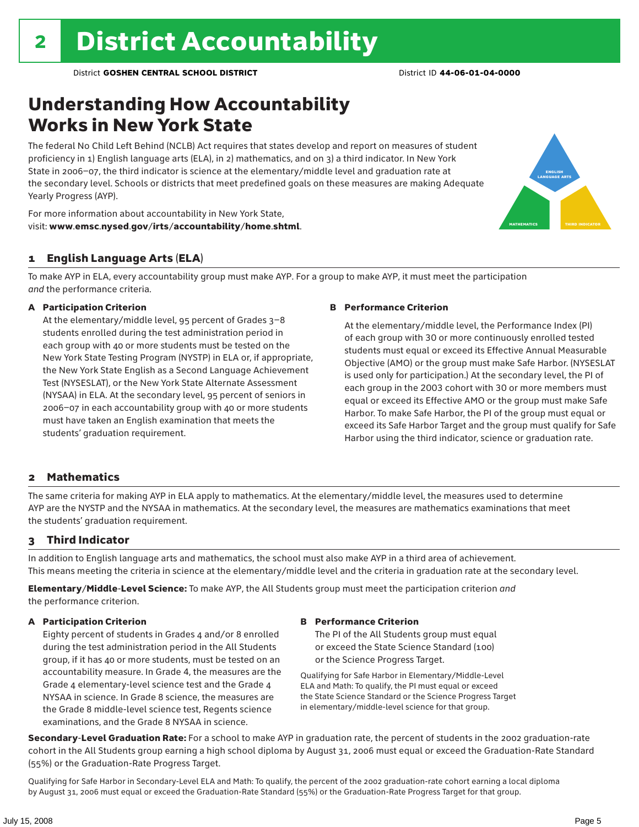### Understanding How Accountability Works in New York State

The federal No Child Left Behind (NCLB) Act requires that states develop and report on measures of student proficiency in 1) English language arts (ELA), in 2) mathematics, and on 3) a third indicator. In New York State in 2006–07, the third indicator is science at the elementary/middle level and graduation rate at the secondary level. Schools or districts that meet predefined goals on these measures are making Adequate Yearly Progress (AYP).



For more information about accountability in New York State, visit: www.emsc.nysed.gov/irts/accountability/home.shtml.

#### 1 English Language Arts (ELA)

To make AYP in ELA, every accountability group must make AYP. For a group to make AYP, it must meet the participation *and* the performance criteria.

#### A Participation Criterion

At the elementary/middle level, 95 percent of Grades 3–8 students enrolled during the test administration period in each group with 40 or more students must be tested on the New York State Testing Program (NYSTP) in ELA or, if appropriate, the New York State English as a Second Language Achievement Test (NYSESLAT), or the New York State Alternate Assessment (NYSAA) in ELA. At the secondary level, 95 percent of seniors in 2006–07 in each accountability group with 40 or more students must have taken an English examination that meets the students' graduation requirement.

#### B Performance Criterion

At the elementary/middle level, the Performance Index (PI) of each group with 30 or more continuously enrolled tested students must equal or exceed its Effective Annual Measurable Objective (AMO) or the group must make Safe Harbor. (NYSESLAT is used only for participation.) At the secondary level, the PI of each group in the 2003 cohort with 30 or more members must equal or exceed its Effective AMO or the group must make Safe Harbor. To make Safe Harbor, the PI of the group must equal or exceed its Safe Harbor Target and the group must qualify for Safe Harbor using the third indicator, science or graduation rate.

#### 2 Mathematics

The same criteria for making AYP in ELA apply to mathematics. At the elementary/middle level, the measures used to determine AYP are the NYSTP and the NYSAA in mathematics. At the secondary level, the measures are mathematics examinations that meet the students' graduation requirement.

#### 3 Third Indicator

In addition to English language arts and mathematics, the school must also make AYP in a third area of achievement. This means meeting the criteria in science at the elementary/middle level and the criteria in graduation rate at the secondary level.

Elementary/Middle-Level Science: To make AYP, the All Students group must meet the participation criterion *and* the performance criterion.

#### A Participation Criterion

Eighty percent of students in Grades 4 and/or 8 enrolled during the test administration period in the All Students group, if it has 40 or more students, must be tested on an accountability measure. In Grade 4, the measures are the Grade 4 elementary-level science test and the Grade 4 NYSAA in science. In Grade 8 science, the measures are the Grade 8 middle-level science test, Regents science examinations, and the Grade 8 NYSAA in science.

#### B Performance Criterion

The PI of the All Students group must equal or exceed the State Science Standard (100) or the Science Progress Target.

Qualifying for Safe Harbor in Elementary/Middle-Level ELA and Math: To qualify, the PI must equal or exceed the State Science Standard or the Science Progress Target in elementary/middle-level science for that group.

Secondary-Level Graduation Rate: For a school to make AYP in graduation rate, the percent of students in the 2002 graduation-rate cohort in the All Students group earning a high school diploma by August 31, 2006 must equal or exceed the Graduation-Rate Standard (55%) or the Graduation-Rate Progress Target.

Qualifying for Safe Harbor in Secondary-Level ELA and Math: To qualify, the percent of the 2002 graduation-rate cohort earning a local diploma by August 31, 2006 must equal or exceed the Graduation-Rate Standard (55%) or the Graduation-Rate Progress Target for that group.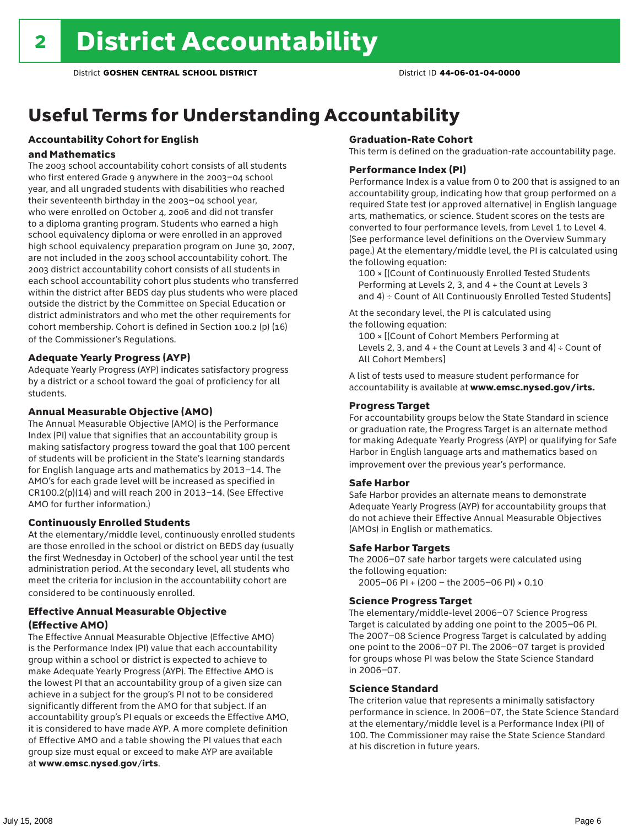## Useful Terms for Understanding Accountability

### Accountability Cohort for English

#### and Mathematics

The 2003 school accountability cohort consists of all students who first entered Grade 9 anywhere in the 2003–04 school year, and all ungraded students with disabilities who reached their seventeenth birthday in the 2003–04 school year, who were enrolled on October 4, 2006 and did not transfer to a diploma granting program. Students who earned a high school equivalency diploma or were enrolled in an approved high school equivalency preparation program on June 30, 2007, are not included in the 2003 school accountability cohort. The 2003 district accountability cohort consists of all students in each school accountability cohort plus students who transferred within the district after BEDS day plus students who were placed outside the district by the Committee on Special Education or district administrators and who met the other requirements for cohort membership. Cohort is defined in Section 100.2 (p) (16) of the Commissioner's Regulations.

#### Adequate Yearly Progress (AYP)

Adequate Yearly Progress (AYP) indicates satisfactory progress by a district or a school toward the goal of proficiency for all students.

#### Annual Measurable Objective (AMO)

The Annual Measurable Objective (AMO) is the Performance Index (PI) value that signifies that an accountability group is making satisfactory progress toward the goal that 100 percent of students will be proficient in the State's learning standards for English language arts and mathematics by 2013–14. The AMO's for each grade level will be increased as specified in CR100.2(p)(14) and will reach 200 in 2013–14. (See Effective AMO for further information.)

#### Continuously Enrolled Students

At the elementary/middle level, continuously enrolled students are those enrolled in the school or district on BEDS day (usually the first Wednesday in October) of the school year until the test administration period. At the secondary level, all students who meet the criteria for inclusion in the accountability cohort are considered to be continuously enrolled.

#### Effective Annual Measurable Objective (Effective AMO)

The Effective Annual Measurable Objective (Effective AMO) is the Performance Index (PI) value that each accountability group within a school or district is expected to achieve to make Adequate Yearly Progress (AYP). The Effective AMO is the lowest PI that an accountability group of a given size can achieve in a subject for the group's PI not to be considered significantly different from the AMO for that subject. If an accountability group's PI equals or exceeds the Effective AMO, it is considered to have made AYP. A more complete definition of Effective AMO and a table showing the PI values that each group size must equal or exceed to make AYP are available at www.emsc.nysed.gov/irts.

#### Graduation-Rate Cohort

This term is defined on the graduation-rate accountability page.

#### Performance Index (PI)

Performance Index is a value from 0 to 200 that is assigned to an accountability group, indicating how that group performed on a required State test (or approved alternative) in English language arts, mathematics, or science. Student scores on the tests are converted to four performance levels, from Level 1 to Level 4. (See performance level definitions on the Overview Summary page.) At the elementary/middle level, the PI is calculated using the following equation:

100 × [(Count of Continuously Enrolled Tested Students Performing at Levels 2, 3, and 4 + the Count at Levels 3 and 4) ÷ Count of All Continuously Enrolled Tested Students]

At the secondary level, the PI is calculated using the following equation:

100 × [(Count of Cohort Members Performing at Levels 2, 3, and  $4 +$  the Count at Levels 3 and  $4) \div$  Count of All Cohort Members]

A list of tests used to measure student performance for accountability is available at www.emsc.nysed.gov/irts.

#### Progress Target

For accountability groups below the State Standard in science or graduation rate, the Progress Target is an alternate method for making Adequate Yearly Progress (AYP) or qualifying for Safe Harbor in English language arts and mathematics based on improvement over the previous year's performance.

#### Safe Harbor

Safe Harbor provides an alternate means to demonstrate Adequate Yearly Progress (AYP) for accountability groups that do not achieve their Effective Annual Measurable Objectives (AMOs) in English or mathematics.

#### Safe Harbor Targets

The 2006–07 safe harbor targets were calculated using the following equation:

2005–06 PI + (200 – the 2005–06 PI) × 0.10

#### Science Progress Target

The elementary/middle-level 2006–07 Science Progress Target is calculated by adding one point to the 2005–06 PI. The 2007–08 Science Progress Target is calculated by adding one point to the 2006–07 PI. The 2006–07 target is provided for groups whose PI was below the State Science Standard in 2006–07.

#### Science Standard

The criterion value that represents a minimally satisfactory performance in science. In 2006–07, the State Science Standard at the elementary/middle level is a Performance Index (PI) of 100. The Commissioner may raise the State Science Standard at his discretion in future years.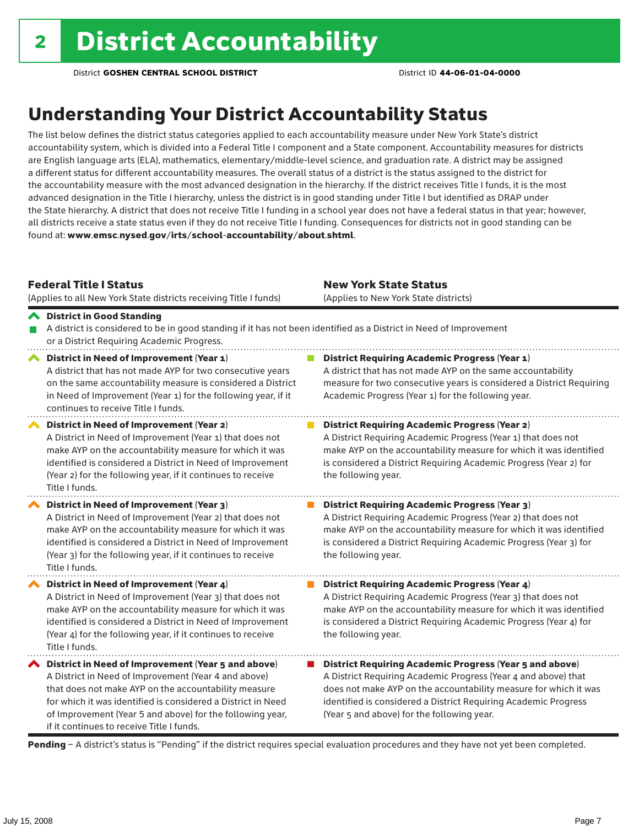### Understanding Your District Accountability Status

The list below defines the district status categories applied to each accountability measure under New York State's district accountability system, which is divided into a Federal Title I component and a State component. Accountability measures for districts are English language arts (ELA), mathematics, elementary/middle-level science, and graduation rate. A district may be assigned a different status for different accountability measures. The overall status of a district is the status assigned to the district for the accountability measure with the most advanced designation in the hierarchy. If the district receives Title I funds, it is the most advanced designation in the Title I hierarchy, unless the district is in good standing under Title I but identified as DRAP under the State hierarchy. A district that does not receive Title I funding in a school year does not have a federal status in that year; however, all districts receive a state status even if they do not receive Title I funding. Consequences for districts not in good standing can be found at: www.emsc.nysed.gov/irts/school-accountability/about.shtml.

#### Federal Title I Status

(Applies to all New York State districts receiving Title I funds)

New York State Status (Applies to New York State districts)

**District Requiring Academic Progress (Year 2)** 

District Requiring Academic Progress (Year 3)

**District Requiring Academic Progress (Year 4)** 

the following year.

the following year.

the following year.

A District Requiring Academic Progress (Year 1) that does not make AYP on the accountability measure for which it was identified is considered a District Requiring Academic Progress (Year 2) for

A District Requiring Academic Progress (Year 2) that does not make AYP on the accountability measure for which it was identified is considered a District Requiring Academic Progress (Year 3) for

A District Requiring Academic Progress (Year 3) that does not make AYP on the accountability measure for which it was identified is considered a District Requiring Academic Progress (Year 4) for

#### District in Good Standing A district is considered to be in good standing if it has not been identified as a District in Need of Improvement or a District Requiring Academic Progress. ◆ District in Need of Improvement (Year 1) **District Requiring Academic Progress (Year 1)** A district that has not made AYP for two consecutive years A district that has not made AYP on the same accountability on the same accountability measure is considered a District measure for two consecutive years is considered a District Requiring in Need of Improvement (Year 1) for the following year, if it Academic Progress (Year 1) for the following year. continues to receive Title I funds.

District in Need of Improvement (Year 2) A District in Need of Improvement (Year 1) that does not make AYP on the accountability measure for which it was identified is considered a District in Need of Improvement (Year 2) for the following year, if it continues to receive Title I funds.

District in Need of Improvement (Year 3) A District in Need of Improvement (Year 2) that does not make AYP on the accountability measure for which it was identified is considered a District in Need of Improvement (Year 3) for the following year, if it continues to receive Title I funds.

◆ District in Need of Improvement (Year 4) A District in Need of Improvement (Year 3) that does not make AYP on the accountability measure for which it was identified is considered a District in Need of Improvement (Year 4) for the following year, if it continues to receive Title I funds.

 $\blacktriangle$  District in Need of Improvement (Year 5 and above) A District in Need of Improvement (Year 4 and above) that does not make AYP on the accountability measure for which it was identified is considered a District in Need of Improvement (Year 5 and above) for the following year, if it continues to receive Title I funds.

■ District Requiring Academic Progress (Year 5 and above) A District Requiring Academic Progress (Year 4 and above) that

does not make AYP on the accountability measure for which it was identified is considered a District Requiring Academic Progress (Year 5 and above) for the following year.

Pending - A district's status is "Pending" if the district requires special evaluation procedures and they have not yet been completed.

 $\mathcal{C}^{\mathcal{A}}$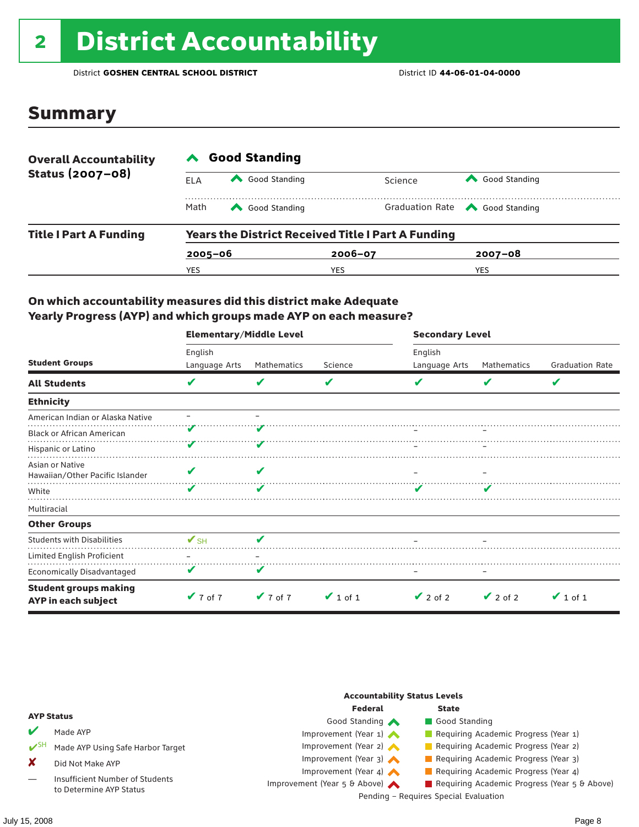# <sup>2</sup> District Accountability

District **GOSHEN CENTRAL SCHOOL DISTRICT** District ID **44-06-01-04-0000**

### Summary

| <b>Overall Accountability</b><br>Status (2007-08) | <b>Good Standing</b> |                                                           |             |         |                                       |  |  |
|---------------------------------------------------|----------------------|-----------------------------------------------------------|-------------|---------|---------------------------------------|--|--|
|                                                   | ELA                  | Good Standing                                             |             | Science | Good Standing                         |  |  |
|                                                   | Math                 | Good Standing                                             |             |         | Graduation Rate <a> Good Standing</a> |  |  |
| <b>Title I Part A Funding</b>                     |                      | <b>Years the District Received Title I Part A Funding</b> |             |         |                                       |  |  |
|                                                   | $2005 - 06$          |                                                           | $2006 - 07$ |         | $2007 - 08$                           |  |  |
|                                                   | YES                  |                                                           | YES         |         | <b>YES</b>                            |  |  |

#### On which accountability measures did this district make Adequate Yearly Progress (AYP) and which groups made AYP on each measure?

|                                                     | <b>Elementary/Middle Level</b> |             |               | <b>Secondary Level</b> |               |                        |  |
|-----------------------------------------------------|--------------------------------|-------------|---------------|------------------------|---------------|------------------------|--|
|                                                     | English                        |             |               | English                |               |                        |  |
| <b>Student Groups</b>                               | Language Arts                  | Mathematics | Science       | Language Arts          | Mathematics   | <b>Graduation Rate</b> |  |
| <b>All Students</b>                                 | v                              | V           | V             |                        | V             | V                      |  |
| <b>Ethnicity</b>                                    |                                |             |               |                        |               |                        |  |
| American Indian or Alaska Native                    |                                |             |               |                        |               |                        |  |
| <b>Black or African American</b>                    |                                |             |               |                        |               |                        |  |
| Hispanic or Latino                                  |                                |             |               |                        |               |                        |  |
| Asian or Native<br>Hawaiian/Other Pacific Islander  |                                |             |               |                        |               |                        |  |
| White                                               |                                | v           |               |                        |               |                        |  |
| Multiracial                                         |                                |             |               |                        |               |                        |  |
| <b>Other Groups</b>                                 |                                |             |               |                        |               |                        |  |
| <b>Students with Disabilities</b>                   | $\mathbf{V}_{\text{SH}}$       | ✔           |               |                        |               |                        |  |
| Limited English Proficient                          |                                |             |               |                        |               |                        |  |
| Economically Disadvantaged                          |                                | V           |               |                        |               |                        |  |
| <b>Student groups making</b><br>AYP in each subject | $V$ 7 of 7                     | $V$ 7 of 7  | $\vee$ 1 of 1 | $\vee$ 2 of 2          | $\vee$ 2 of 2 | $\vee$ 1 of 1          |  |

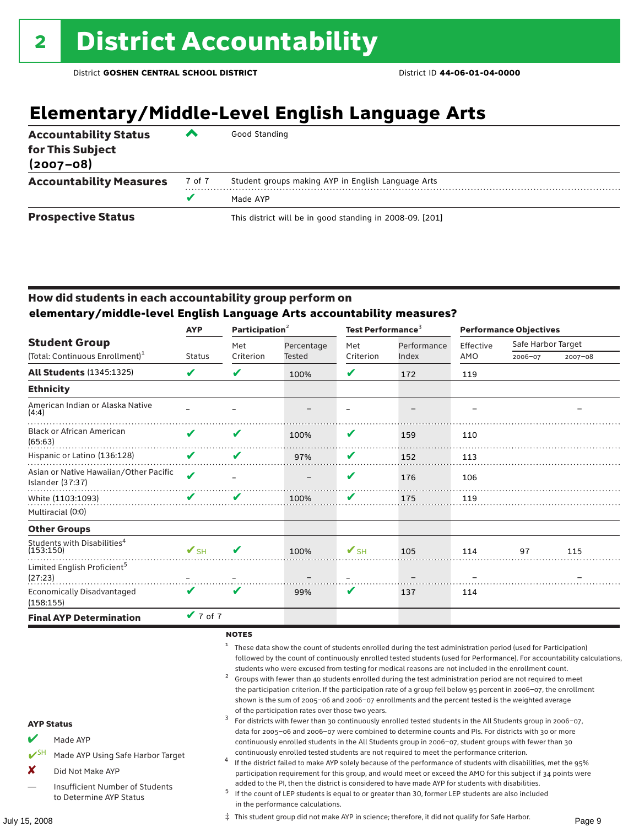## **Elementary/Middle-Level English Language Arts**

| <b>Accountability Status</b><br>for This Subject<br>$(2007 - 08)$ | ▰      | Good Standing                                            |
|-------------------------------------------------------------------|--------|----------------------------------------------------------|
| <b>Accountability Measures</b>                                    | 7 of 7 | Student groups making AYP in English Language Arts       |
|                                                                   |        | Made AYP                                                 |
| <b>Prospective Status</b>                                         |        | This district will be in good standing in 2008-09. [201] |

#### How did students in each accountability group perform on **elementary/middle-level English Language Arts accountability measures?**

|                                                            | Participation $2$<br><b>AYP</b> |           |            | Test Performance <sup>3</sup> |             | <b>Performance Objectives</b> |                    |             |
|------------------------------------------------------------|---------------------------------|-----------|------------|-------------------------------|-------------|-------------------------------|--------------------|-------------|
| <b>Student Group</b>                                       |                                 | Met       | Percentage | Met                           | Performance | Effective                     | Safe Harbor Target |             |
| (Total: Continuous Enrollment) <sup>1</sup>                | <b>Status</b>                   | Criterion | Tested     | Criterion                     | Index       | AMO                           | 2006-07            | $2007 - 08$ |
| <b>All Students (1345:1325)</b>                            | V                               | V         | 100%       | V                             | 172         | 119                           |                    |             |
| <b>Ethnicity</b>                                           |                                 |           |            |                               |             |                               |                    |             |
| American Indian or Alaska Native<br>(4:4)                  |                                 |           |            |                               |             |                               |                    |             |
| <b>Black or African American</b><br>(65:63)                | ✔                               | V         | 100%       | V                             | 159         | 110                           |                    |             |
| Hispanic or Latino (136:128)                               | V                               | V         | 97%        | V                             | 152         | 113                           |                    |             |
| Asian or Native Hawaiian/Other Pacific<br>Islander (37:37) | ✔                               |           |            | V                             | 176         | 106                           |                    |             |
| White (1103:1093)                                          | V                               | V         | 100%       | V                             | 175         | 119                           |                    |             |
| Multiracial (0:0)                                          |                                 |           |            |                               |             |                               |                    |             |
| <b>Other Groups</b>                                        |                                 |           |            |                               |             |                               |                    |             |
| Students with Disabilities <sup>4</sup><br>(153:150)       | $\mathbf{V}_{\text{SH}}$        | V         | 100%       | $\mathbf{V}$ SH               | 105         | 114                           | 97                 | 115         |
| Limited English Proficient <sup>5</sup><br>(27:23)         |                                 |           |            |                               |             |                               |                    |             |
| <b>Economically Disadvantaged</b><br>(158:155)             | V                               | V         | 99%        | V                             | 137         | 114                           |                    |             |
| <b>Final AYP Determination</b>                             | $V$ 7 of 7                      |           |            |                               |             |                               |                    |             |

#### **NOTES**

<sup>1</sup> These data show the count of students enrolled during the test administration period (used for Participation) followed by the count of continuously enrolled tested students (used for Performance). For accountability calculations,

- students who were excused from testing for medical reasons are not included in the enrollment count.<br>2 Groups with fewer than 40 students enrolled during the test administration period are not required to meet the participation criterion. If the participation rate of a group fell below 95 percent in 2006–07, the enrollment shown is the sum of 2005–06 and 2006–07 enrollments and the percent tested is the weighted average
- of the participation rates over those two years.<br><sup>3</sup> For districts with fewer than 30 continuously enrolled tested students in the All Students group in 2006–07, data for 2005–06 and 2006–07 were combined to determine counts and PIs. For districts with 30 or more continuously enrolled students in the All Students group in 2006–07, student groups with fewer than 30
- continuously enrolled tested students are not required to meet the performance criterion. <sup>4</sup> If the district failed to make AYP solely because of the performance of students with disabilities, met the 95% participation requirement for this group, and would meet or exceed the AMO for this subject if 34 points were
- added to the PI, then the district is considered to have made AYP for students with disabilities.<br><sup>5</sup> If the count of LEP students is equal to or greater than 30, former LEP students are also included in the performance calculations.

#### AYP Status

- Made AYP
- ✔SH Made AYP Using Safe Harbor Target
- X Did Not Make AYP
- Insufficient Number of Students to Determine AYP Status

July 15, 2008 Page 9 ‡ This student group did not make AYP in science; therefore, it did not qualify for Safe Harbor.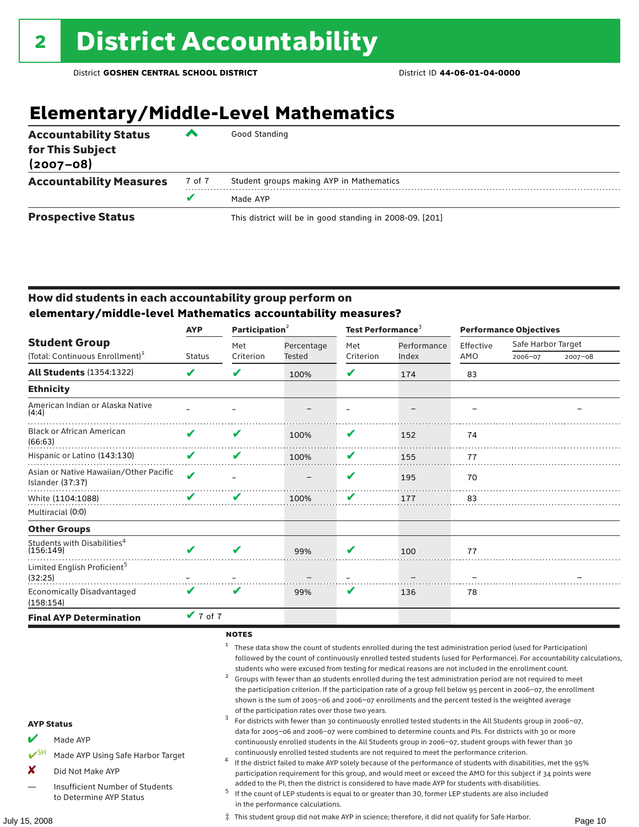### **Elementary/Middle-Level Mathematics**

| <b>Accountability Status</b><br>for This Subject<br>$(2007 - 08)$ | ▰      | Good Standing                                            |
|-------------------------------------------------------------------|--------|----------------------------------------------------------|
| <b>Accountability Measures</b>                                    | 7 of 7 | Student groups making AYP in Mathematics                 |
|                                                                   | v      | Made AYP                                                 |
| <b>Prospective Status</b>                                         |        | This district will be in good standing in 2008-09. [201] |

#### How did students in each accountability group perform on **elementary/middle-level Mathematics accountability measures?**

|                                                            | <b>AYP</b>    | Participation $2$ |                      | Test Performance <sup>3</sup> |                      | <b>Performance Objectives</b> |                    |             |
|------------------------------------------------------------|---------------|-------------------|----------------------|-------------------------------|----------------------|-------------------------------|--------------------|-------------|
| <b>Student Group</b>                                       | <b>Status</b> | Met<br>Criterion  | Percentage<br>Tested | Met<br>Criterion              | Performance<br>Index | Effective<br>AMO              | Safe Harbor Target |             |
| (Total: Continuous Enrollment) <sup>1</sup>                |               |                   |                      |                               |                      |                               | 2006-07            | $2007 - 08$ |
| <b>All Students (1354:1322)</b>                            | ✔             | V                 | 100%                 | V                             | 174                  | 83                            |                    |             |
| <b>Ethnicity</b>                                           |               |                   |                      |                               |                      |                               |                    |             |
| American Indian or Alaska Native<br>(4:4)                  |               |                   |                      |                               |                      |                               |                    |             |
| <b>Black or African American</b><br>(66:63)                | ✔             | v                 | 100%                 | V                             | 152                  | 74                            |                    |             |
| Hispanic or Latino (143:130)                               | V             | v                 | 100%                 | V                             | 155                  | 77                            |                    |             |
| Asian or Native Hawaiian/Other Pacific<br>Islander (37:37) | $\mathbf{v}$  |                   |                      | V                             | 195                  | 70                            |                    |             |
| White (1104:1088)                                          |               |                   | 100%                 | V                             | 177                  | 83                            |                    |             |
| Multiracial (0:0)                                          |               |                   |                      |                               |                      |                               |                    |             |
| <b>Other Groups</b>                                        |               |                   |                      |                               |                      |                               |                    |             |
| Students with Disabilities <sup>4</sup><br>(156:149)       | ✔             | ✔                 | 99%                  | v                             | 100                  | 77                            |                    |             |
| Limited English Proficient <sup>5</sup><br>(32:25)         |               |                   |                      |                               |                      |                               |                    |             |
| <b>Economically Disadvantaged</b><br>(158:154)             | V             | V                 | 99%                  | V                             | 136                  | 78                            |                    |             |
| <b>Final AYP Determination</b>                             | $V$ 7 of 7    |                   |                      |                               |                      |                               |                    |             |

#### **NOTES**

<sup>1</sup> These data show the count of students enrolled during the test administration period (used for Participation) followed by the count of continuously enrolled tested students (used for Performance). For accountability calculations,

- students who were excused from testing for medical reasons are not included in the enrollment count.<br>2 Groups with fewer than 40 students enrolled during the test administration period are not required to meet the participation criterion. If the participation rate of a group fell below 95 percent in 2006–07, the enrollment shown is the sum of 2005–06 and 2006–07 enrollments and the percent tested is the weighted average
- of the participation rates over those two years.<br><sup>3</sup> For districts with fewer than 30 continuously enrolled tested students in the All Students group in 2006–07, data for 2005–06 and 2006–07 were combined to determine counts and PIs. For districts with 30 or more continuously enrolled students in the All Students group in 2006–07, student groups with fewer than 30
- continuously enrolled tested students are not required to meet the performance criterion. <sup>4</sup> If the district failed to make AYP solely because of the performance of students with disabilities, met the 95% participation requirement for this group, and would meet or exceed the AMO for this subject if 34 points were
- added to the PI, then the district is considered to have made AYP for students with disabilities.<br><sup>5</sup> If the count of LEP students is equal to or greater than 30, former LEP students are also included in the performance calculations.

#### AYP Status

- Made AYP
- ✔SH Made AYP Using Safe Harbor Target
- X Did Not Make AYP
- Insufficient Number of Students to Determine AYP Status

July 15, 2008 Page 10 ‡ This student group did not make AYP in science; therefore, it did not qualify for Safe Harbor.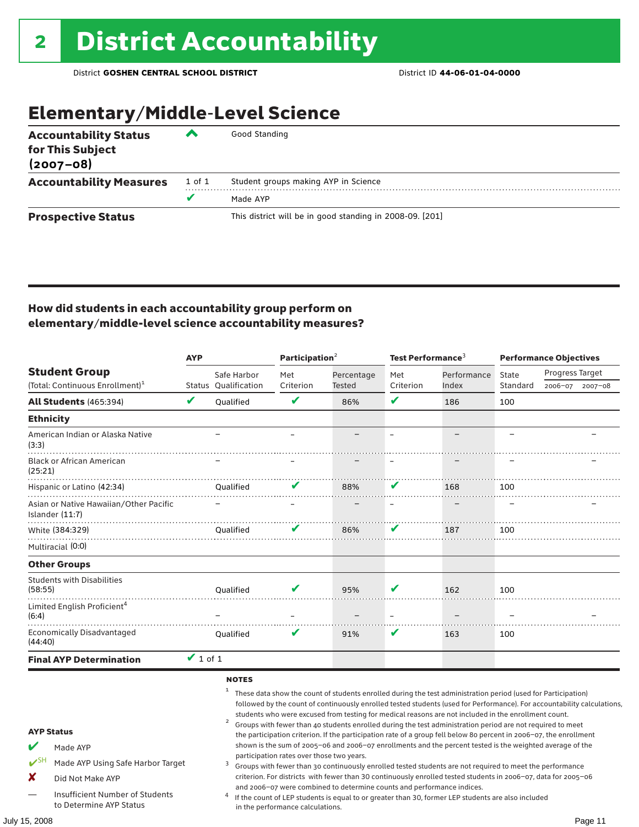### Elementary/Middle-Level Science

| <b>Accountability Status</b><br>for This Subject<br>$(2007 - 08)$ | ◚      | Good Standing                                            |
|-------------------------------------------------------------------|--------|----------------------------------------------------------|
| <b>Accountability Measures</b>                                    | 1 of 1 | Student groups making AYP in Science                     |
|                                                                   | v      | Made AYP                                                 |
| <b>Prospective Status</b>                                         |        | This district will be in good standing in 2008-09. [201] |

#### How did students in each accountability group perform on elementary/middle-level science accountability measures?

|                                                                                                                     | Participation <sup>2</sup><br>Test Performance <sup>3</sup><br><b>AYP</b> |                                                     |                                           | <b>Performance Objectives</b>                                          |                          |                                                                                                                                                                                                                                                                                                                                                                                                                                                                                                                                                                                                                                                                                                                                                                                                                                                                                                                                 |                          |                 |             |
|---------------------------------------------------------------------------------------------------------------------|---------------------------------------------------------------------------|-----------------------------------------------------|-------------------------------------------|------------------------------------------------------------------------|--------------------------|---------------------------------------------------------------------------------------------------------------------------------------------------------------------------------------------------------------------------------------------------------------------------------------------------------------------------------------------------------------------------------------------------------------------------------------------------------------------------------------------------------------------------------------------------------------------------------------------------------------------------------------------------------------------------------------------------------------------------------------------------------------------------------------------------------------------------------------------------------------------------------------------------------------------------------|--------------------------|-----------------|-------------|
| <b>Student Group</b>                                                                                                |                                                                           | Safe Harbor                                         | Met                                       | Percentage                                                             | Met                      | Performance                                                                                                                                                                                                                                                                                                                                                                                                                                                                                                                                                                                                                                                                                                                                                                                                                                                                                                                     | State                    | Progress Target |             |
| (Total: Continuous Enrollment) <sup>1</sup>                                                                         |                                                                           | Status Qualification                                | Criterion                                 | Tested                                                                 | Criterion                | Index                                                                                                                                                                                                                                                                                                                                                                                                                                                                                                                                                                                                                                                                                                                                                                                                                                                                                                                           | Standard                 | 2006-07         | $2007 - 08$ |
| <b>All Students (465:394)</b>                                                                                       | V                                                                         | Qualified                                           | V                                         | 86%                                                                    | V                        | 186                                                                                                                                                                                                                                                                                                                                                                                                                                                                                                                                                                                                                                                                                                                                                                                                                                                                                                                             | 100                      |                 |             |
| <b>Ethnicity</b>                                                                                                    |                                                                           |                                                     |                                           |                                                                        |                          |                                                                                                                                                                                                                                                                                                                                                                                                                                                                                                                                                                                                                                                                                                                                                                                                                                                                                                                                 |                          |                 |             |
| American Indian or Alaska Native<br>(3:3)                                                                           |                                                                           |                                                     |                                           |                                                                        | $\overline{\phantom{0}}$ |                                                                                                                                                                                                                                                                                                                                                                                                                                                                                                                                                                                                                                                                                                                                                                                                                                                                                                                                 | $\overline{\phantom{0}}$ |                 |             |
| <b>Black or African American</b><br>(25:21)                                                                         |                                                                           |                                                     |                                           |                                                                        |                          |                                                                                                                                                                                                                                                                                                                                                                                                                                                                                                                                                                                                                                                                                                                                                                                                                                                                                                                                 |                          |                 |             |
| Hispanic or Latino (42:34)                                                                                          |                                                                           | Oualified                                           | V                                         | 88%                                                                    |                          | 168                                                                                                                                                                                                                                                                                                                                                                                                                                                                                                                                                                                                                                                                                                                                                                                                                                                                                                                             | 100                      |                 |             |
| Asian or Native Hawaiian/Other Pacific<br>Islander (11:7)                                                           |                                                                           |                                                     |                                           |                                                                        |                          |                                                                                                                                                                                                                                                                                                                                                                                                                                                                                                                                                                                                                                                                                                                                                                                                                                                                                                                                 |                          |                 |             |
| White (384:329)                                                                                                     |                                                                           | Oualified                                           |                                           | 86%                                                                    |                          | 187                                                                                                                                                                                                                                                                                                                                                                                                                                                                                                                                                                                                                                                                                                                                                                                                                                                                                                                             | 100                      |                 |             |
| Multiracial (0:0)                                                                                                   |                                                                           |                                                     |                                           |                                                                        |                          |                                                                                                                                                                                                                                                                                                                                                                                                                                                                                                                                                                                                                                                                                                                                                                                                                                                                                                                                 |                          |                 |             |
| <b>Other Groups</b>                                                                                                 |                                                                           |                                                     |                                           |                                                                        |                          |                                                                                                                                                                                                                                                                                                                                                                                                                                                                                                                                                                                                                                                                                                                                                                                                                                                                                                                                 |                          |                 |             |
| <b>Students with Disabilities</b><br>(58:55)                                                                        |                                                                           | Oualified                                           |                                           | 95%                                                                    | V                        | 162                                                                                                                                                                                                                                                                                                                                                                                                                                                                                                                                                                                                                                                                                                                                                                                                                                                                                                                             | 100                      |                 |             |
| Limited English Proficient <sup>4</sup><br>(6:4)                                                                    |                                                                           |                                                     |                                           |                                                                        |                          |                                                                                                                                                                                                                                                                                                                                                                                                                                                                                                                                                                                                                                                                                                                                                                                                                                                                                                                                 |                          |                 |             |
| <b>Economically Disadvantaged</b><br>(44:40)                                                                        |                                                                           | Qualified                                           | V                                         | 91%                                                                    | V                        | 163                                                                                                                                                                                                                                                                                                                                                                                                                                                                                                                                                                                                                                                                                                                                                                                                                                                                                                                             | 100                      |                 |             |
| <b>Final AYP Determination</b>                                                                                      | $\overline{V}$ 1 of 1                                                     |                                                     |                                           |                                                                        |                          |                                                                                                                                                                                                                                                                                                                                                                                                                                                                                                                                                                                                                                                                                                                                                                                                                                                                                                                                 |                          |                 |             |
| <b>AYP Status</b><br>V<br>Made AYP<br>$V^{\text{SH}}$<br>Made AYP Using Safe Harbor Target<br>X<br>Did Not Make AYP |                                                                           | <b>NOTES</b><br>$\mathbf{1}$<br>$\overline{a}$<br>3 | participation rates over those two years. | and 2006-07 were combined to determine counts and performance indices. |                          | These data show the count of students enrolled during the test administration period (used for Participation)<br>followed by the count of continuously enrolled tested students (used for Performance). For accountability calculations,<br>students who were excused from testing for medical reasons are not included in the enrollment count.<br>Groups with fewer than 40 students enrolled during the test administration period are not required to meet<br>the participation criterion. If the participation rate of a group fell below 80 percent in 2006-07, the enrollment<br>shown is the sum of 2005-06 and 2006-07 enrollments and the percent tested is the weighted average of the<br>Groups with fewer than 30 continuously enrolled tested students are not required to meet the performance<br>criterion. For districts with fewer than 30 continuously enrolled tested students in 2006-07, data for 2005-06 |                          |                 |             |
| Insufficient Number of Students<br>to Determine AYP Status                                                          |                                                                           |                                                     | in the performance calculations.          |                                                                        |                          | If the count of LEP students is equal to or greater than 30, former LEP students are also included                                                                                                                                                                                                                                                                                                                                                                                                                                                                                                                                                                                                                                                                                                                                                                                                                              |                          |                 |             |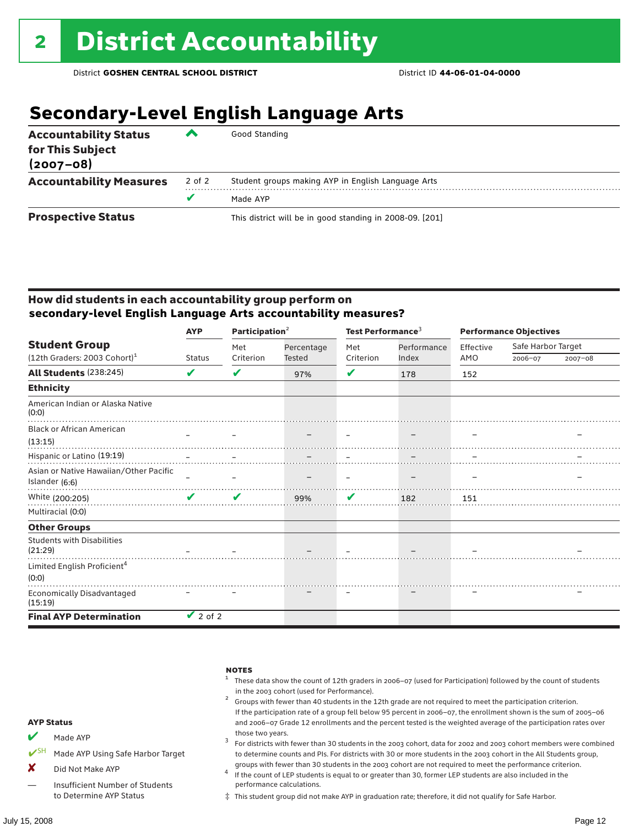### **Secondary-Level English Language Arts**

| <b>Accountability Status</b><br>for This Subject<br>$(2007 - 08)$ | ▰      | Good Standing                                            |
|-------------------------------------------------------------------|--------|----------------------------------------------------------|
| <b>Accountability Measures</b>                                    | 2 of 2 | Student groups making AYP in English Language Arts       |
|                                                                   |        | Made AYP                                                 |
| <b>Prospective Status</b>                                         |        | This district will be in good standing in 2008-09. [201] |

#### How did students in each accountability group perform on **secondary-level English Language Arts accountability measures?**

|                                              | <b>AYP</b>    | Participation <sup>2</sup> |               | Test Performance <sup>3</sup> |             | <b>Performance Objectives</b> |                    |             |
|----------------------------------------------|---------------|----------------------------|---------------|-------------------------------|-------------|-------------------------------|--------------------|-------------|
| <b>Student Group</b>                         |               | Met                        | Percentage    | Met                           | Performance | Effective                     | Safe Harbor Target |             |
| $(12th$ Graders: 2003 Cohort) <sup>1</sup>   | <b>Status</b> | Criterion                  | <b>Tested</b> | Criterion                     | Index       | AMO                           | 2006-07            | $2007 - 08$ |
| All Students (238:245)                       | V             | V                          | 97%           | V                             | 178         | 152                           |                    |             |
| <b>Ethnicity</b>                             |               |                            |               |                               |             |                               |                    |             |
| American Indian or Alaska Native<br>(0:0)    |               |                            |               |                               |             |                               |                    |             |
| <b>Black or African American</b>             |               |                            |               |                               |             |                               |                    |             |
| (13:15)                                      |               |                            |               |                               |             |                               |                    |             |
| Hispanic or Latino (19:19)                   |               |                            |               |                               |             |                               |                    |             |
| Asian or Native Hawaiian/Other Pacific       |               |                            |               |                               |             |                               |                    |             |
| Islander (6:6)                               |               |                            |               |                               |             |                               |                    |             |
| White (200:205)                              | $\mathbf{v}$  | ✔                          | 99%           | V                             | 182         | 151                           |                    |             |
| Multiracial (0:0)                            |               |                            |               |                               |             |                               |                    |             |
| <b>Other Groups</b>                          |               |                            |               |                               |             |                               |                    |             |
| <b>Students with Disabilities</b><br>(21:29) |               |                            |               |                               |             |                               |                    |             |
| Limited English Proficient <sup>4</sup>      |               |                            |               |                               |             |                               |                    |             |
| (0:0)                                        |               |                            |               |                               |             |                               |                    |             |
| <b>Economically Disadvantaged</b><br>(15:19) |               |                            |               |                               |             |                               |                    |             |
| <b>Final AYP Determination</b>               | $\vee$ 2 of 2 |                            |               |                               |             |                               |                    |             |



‡ This student group did not make AYP in graduation rate; therefore, it did not qualify for Safe Harbor.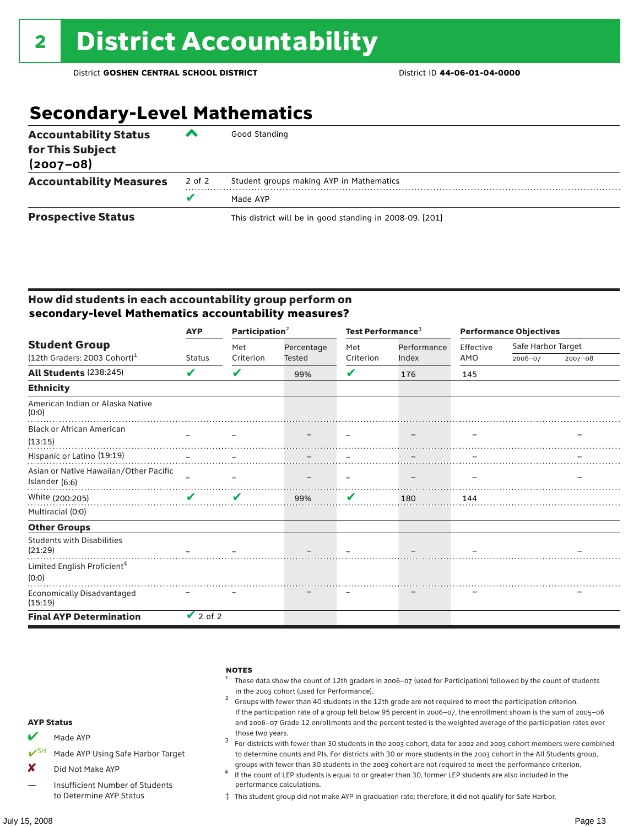### **Secondary-Level Mathematics**

| <b>Accountability Status</b><br>for This Subject<br>$(2007 - 08)$ | ▰      | Good Standing                                            |
|-------------------------------------------------------------------|--------|----------------------------------------------------------|
| <b>Accountability Measures</b>                                    | 2 of 2 | Student groups making AYP in Mathematics                 |
|                                                                   |        | Made AYP                                                 |
| <b>Prospective Status</b>                                         |        | This district will be in good standing in 2008-09. [201] |

#### How did students in each accountability group perform on **secondary-level Mathematics accountability measures?**

|                                                  | <b>AYP</b>    | Participation <sup>2</sup> |            | Test Performance <sup>3</sup> |             | <b>Performance Objectives</b> |                    |             |
|--------------------------------------------------|---------------|----------------------------|------------|-------------------------------|-------------|-------------------------------|--------------------|-------------|
| <b>Student Group</b>                             |               | Met                        | Percentage | Met                           | Performance | Effective                     | Safe Harbor Target |             |
| $(12th$ Graders: 2003 Cohort) <sup>1</sup>       | <b>Status</b> | Criterion                  | Tested     | Criterion                     | Index       | AMO                           | 2006-07            | $2007 - 08$ |
| All Students (238:245)                           | V             | V                          | 99%        | V                             | 176         | 145                           |                    |             |
| <b>Ethnicity</b>                                 |               |                            |            |                               |             |                               |                    |             |
| American Indian or Alaska Native<br>(0:0)        |               |                            |            |                               |             |                               |                    |             |
| <b>Black or African American</b>                 |               |                            |            |                               |             |                               |                    |             |
| (13:15)                                          |               |                            |            |                               |             |                               |                    |             |
| Hispanic or Latino (19:19)                       |               |                            |            |                               |             |                               |                    |             |
| Asian or Native Hawaiian/Other Pacific           |               |                            |            |                               |             |                               |                    |             |
| Islander (6:6)                                   |               |                            |            |                               |             |                               |                    |             |
| White (200:205)                                  | ✔             | V                          | 99%        | V                             | 180         | 144                           |                    |             |
| Multiracial (0:0)                                |               |                            |            |                               |             |                               |                    |             |
| <b>Other Groups</b>                              |               |                            |            |                               |             |                               |                    |             |
| <b>Students with Disabilities</b><br>(21:29)     |               |                            |            |                               |             |                               |                    |             |
| Limited English Proficient <sup>4</sup><br>(0:0) |               |                            |            |                               |             |                               |                    |             |
| Economically Disadvantaged<br>(15:19)            |               |                            |            |                               |             |                               |                    |             |
| <b>Final AYP Determination</b>                   | $\vee$ 2 of 2 |                            |            |                               |             |                               |                    |             |



‡ This student group did not make AYP in graduation rate; therefore, it did not qualify for Safe Harbor.

to Determine AYP Status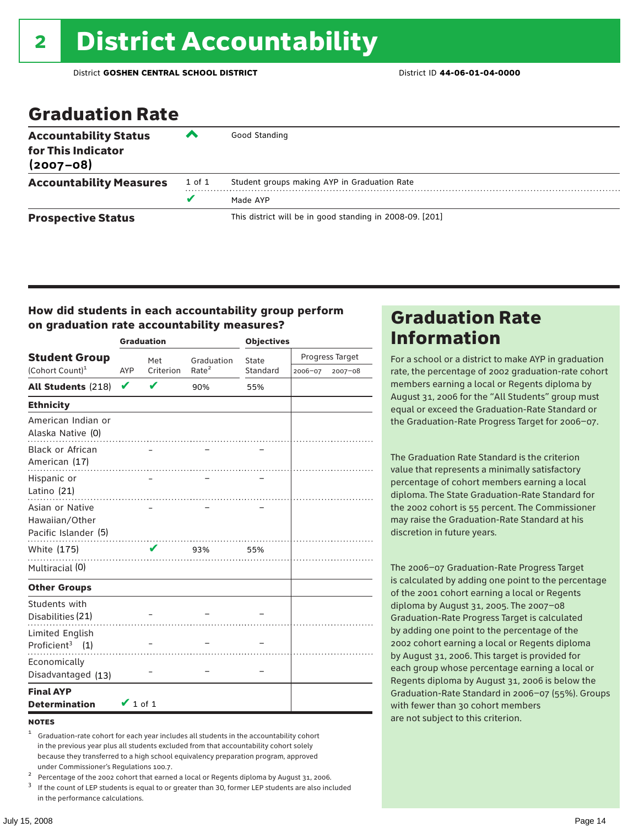### Graduation Rate

| <b>Accountability Status</b><br>for This Indicator<br>$(2007 - 08)$ | ‴      | Good Standing                                            |
|---------------------------------------------------------------------|--------|----------------------------------------------------------|
| <b>Accountability Measures</b>                                      | 1 of 1 | Student groups making AYP in Graduation Rate             |
|                                                                     | v      | Made AYP                                                 |
| <b>Prospective Status</b>                                           |        | This district will be in good standing in 2008-09. [201] |

#### How did students in each accountability group perform on graduation rate accountability measures?

|                                                           |               | <b>Graduation</b> |                   | <b>Objectives</b> |         |                 |
|-----------------------------------------------------------|---------------|-------------------|-------------------|-------------------|---------|-----------------|
| <b>Student Group</b>                                      |               | Met               | Graduation        | State             |         | Progress Target |
| (Cohort Count) <sup>1</sup>                               | AYP           | Criterion         | Rate <sup>2</sup> | Standard          | 2006-07 | 2007-08         |
| All Students (218)                                        | V             | V                 | 90%               | 55%               |         |                 |
| <b>Ethnicity</b>                                          |               |                   |                   |                   |         |                 |
| American Indian or<br>Alaska Native (0)                   |               |                   |                   |                   |         |                 |
| Black or African<br>American (17)                         |               |                   |                   |                   |         |                 |
| Hispanic or<br>Latino (21)                                |               |                   |                   |                   |         |                 |
| Asian or Native<br>Hawaiian/Other<br>Pacific Islander (5) |               |                   |                   |                   |         |                 |
| White (175)                                               |               | V                 | 93%               | 55%               |         |                 |
| Multiracial (0)                                           |               |                   | .                 |                   |         |                 |
| <b>Other Groups</b>                                       |               |                   |                   |                   |         |                 |
| Students with<br>Disabilities (21)                        |               |                   |                   |                   |         |                 |
| Limited English<br>Proficient <sup>3</sup> $(1)$          |               |                   |                   |                   |         |                 |
| Economically<br>Disadvantaged (13)                        |               |                   |                   |                   |         |                 |
| <b>Final AYP</b><br><b>Determination</b>                  | $\vee$ 1 of 1 |                   |                   |                   |         |                 |

#### **NOTES**

<sup>1</sup> Graduation-rate cohort for each year includes all students in the accountability cohort in the previous year plus all students excluded from that accountability cohort solely because they transferred to a high school equivalency preparation program, approved

under Commissioner's Regulations 100.7.<br>
Percentage of the 2002 cohort that earned a local or Regents diploma by August 31, 2006.<br>
<sup>3</sup> If the count of LEP students is equal to or greater than 30, former LEP students are a in the performance calculations.

### Graduation Rate Information

For a school or a district to make AYP in graduation rate, the percentage of 2002 graduation-rate cohort members earning a local or Regents diploma by August 31, 2006 for the "All Students" group must equal or exceed the Graduation-Rate Standard or the Graduation-Rate Progress Target for 2006–07.

The Graduation Rate Standard is the criterion value that represents a minimally satisfactory percentage of cohort members earning a local diploma. The State Graduation-Rate Standard for the 2002 cohort is 55 percent. The Commissioner may raise the Graduation-Rate Standard at his discretion in future years.

The 2006–07 Graduation-Rate Progress Target is calculated by adding one point to the percentage of the 2001 cohort earning a local or Regents diploma by August 31, 2005. The 2007–08 Graduation-Rate Progress Target is calculated by adding one point to the percentage of the 2002 cohort earning a local or Regents diploma by August 31, 2006. This target is provided for each group whose percentage earning a local or Regents diploma by August 31, 2006 is below the Graduation-Rate Standard in 2006–07 (55%). Groups with fewer than 30 cohort members are not subject to this criterion.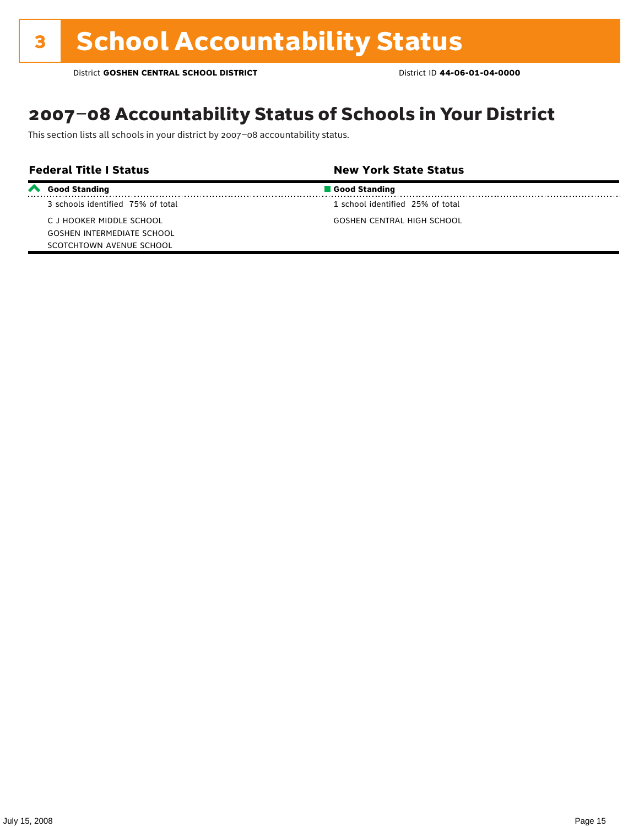### 2007–08 Accountability Status of Schools in Your District

This section lists all schools in your district by 2007–08 accountability status.

| <b>Federal Title I Status</b> |                                   | <b>New York State Status</b>      |  |
|-------------------------------|-----------------------------------|-----------------------------------|--|
|                               | Good Standing                     | Good Standing                     |  |
|                               | 3 schools identified 75% of total | 1 school identified 25% of total  |  |
|                               | C J HOOKER MIDDLE SCHOOL          | <b>GOSHEN CENTRAL HIGH SCHOOL</b> |  |
|                               | <b>GOSHEN INTERMEDIATE SCHOOL</b> |                                   |  |
|                               | SCOTCHTOWN AVENUE SCHOOL          |                                   |  |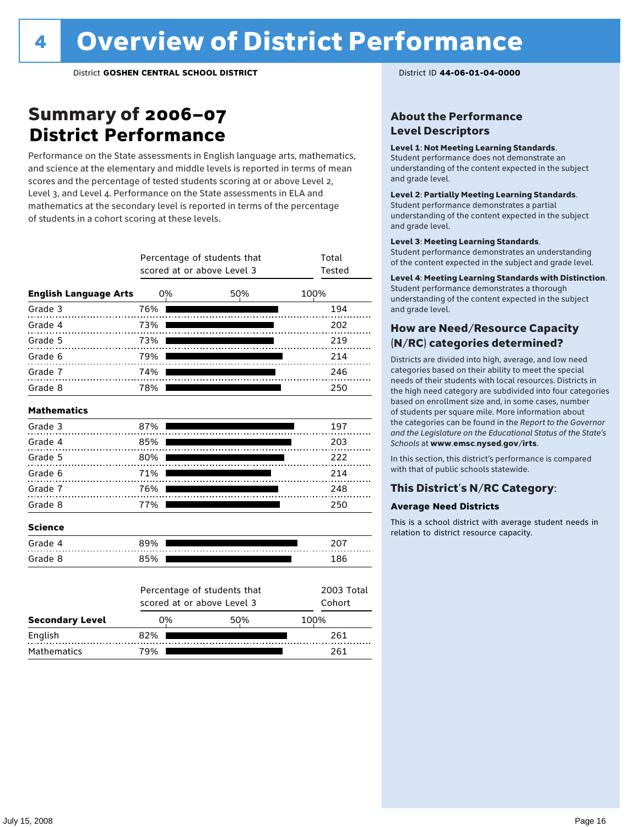### Summary of 2006–07 **District Performance**

Performance on the State assessments in English language arts, mathematics, and science at the elementary and middle levels is reported in terms of mean scores and the percentage of tested students scoring at or above Level 2, Level 3, and Level 4. Performance on the State assessments in ELA and mathematics at the secondary level is reported in terms of the percentage of students in a cohort scoring at these levels.

|                              |     | Percentage of students that<br>scored at or above Level 3 |     | Total<br><b>Tested</b> |                      |
|------------------------------|-----|-----------------------------------------------------------|-----|------------------------|----------------------|
| <b>English Language Arts</b> | 0%  |                                                           | 50% | 100%                   |                      |
| Grade 3                      | 76% |                                                           |     |                        | 194                  |
| Grade 4                      | 73% |                                                           |     |                        | 202                  |
| Grade 5                      | 73% |                                                           |     |                        | 219                  |
| Grade 6                      | 79% |                                                           |     |                        | 214                  |
| Grade 7                      | 74% |                                                           |     |                        | 246                  |
| Grade 8                      | 78% |                                                           |     |                        | 250                  |
| <b>Mathematics</b>           |     |                                                           |     |                        |                      |
| Grade 3                      | 87% |                                                           |     |                        | 197                  |
| Grade 4                      | 85% |                                                           |     |                        | 203                  |
| Grade 5                      | 80% |                                                           |     |                        | 222                  |
| Grade 6                      | 71% |                                                           |     |                        | 214                  |
| Grade 7                      | 76% |                                                           |     |                        | 248                  |
| Grade 8                      | 77% |                                                           |     |                        | 250                  |
| <b>Science</b>               |     |                                                           |     |                        |                      |
| Grade 4                      | 89% |                                                           |     |                        | 207                  |
| Grade 8                      | 85% |                                                           |     |                        | 186                  |
|                              |     | Percentage of students that<br>scored at or above Level 3 |     |                        | 2003 Total<br>Cohort |
| <b>Secondary Level</b>       | 0%  |                                                           | 50% | 100%                   |                      |

English 82% 261 Mathematics 79% 261

#### About the Performance Level Descriptors

#### Level 1: Not Meeting Learning Standards.

Student performance does not demonstrate an understanding of the content expected in the subject and grade level.

#### Level 2: Partially Meeting Learning Standards.

Student performance demonstrates a partial understanding of the content expected in the subject and grade level.

#### Level 3: Meeting Learning Standards.

Student performance demonstrates an understanding of the content expected in the subject and grade level.

#### Level 4: Meeting Learning Standards with Distinction.

Student performance demonstrates a thorough understanding of the content expected in the subject and grade level.

#### How are Need/Resource Capacity (N/RC) categories determined?

Districts are divided into high, average, and low need categories based on their ability to meet the special needs of their students with local resources. Districts in the high need category are subdivided into four categories based on enrollment size and, in some cases, number of students per square mile. More information about the categories can be found in the *Report to the Governor and the Legislature on the Educational Status of the State's Schools* at www.emsc.nysed.gov/irts.

In this section, this district's performance is compared with that of public schools statewide.

#### This District's N/RC Category:

#### **Average Need Districts**

This is a school district with average student needs in relation to district resource capacity.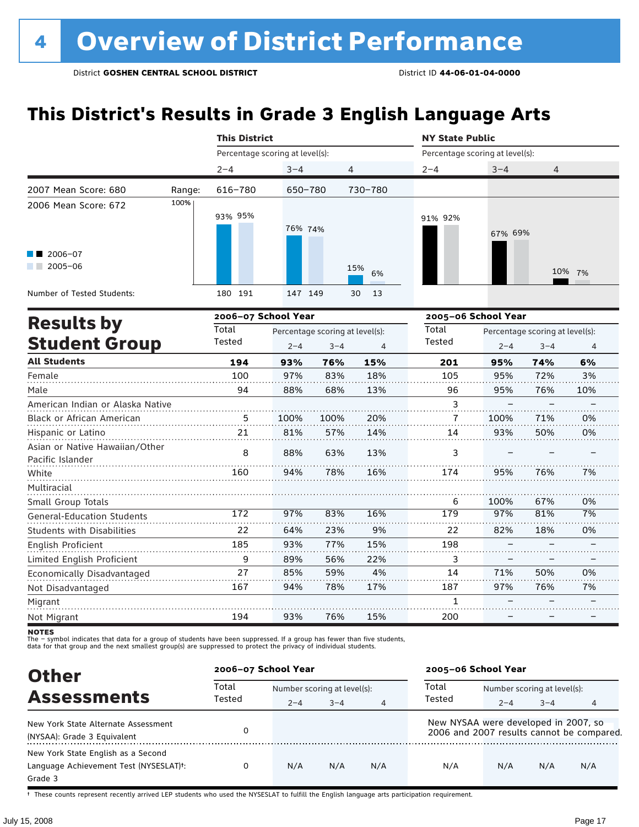### **This District's Results in Grade 3 English Language Arts**

|                                                |        | <b>This District</b> |                                 |            | <b>NY State Public</b> |                                 |        |
|------------------------------------------------|--------|----------------------|---------------------------------|------------|------------------------|---------------------------------|--------|
|                                                |        |                      | Percentage scoring at level(s): |            |                        | Percentage scoring at level(s): |        |
|                                                |        | $2 - 4$              | $3 - 4$                         | 4          | $2 - 4$                | $3 - 4$                         | 4      |
| 2007 Mean Score: 680                           | Range: | 616-780              | 650-780                         | 730-780    |                        |                                 |        |
| 2006 Mean Score: 672<br>2006-07<br>$2005 - 06$ | 100%   | 93% 95%              | 76% 74%                         | 15%<br>6%  | 91% 92%                | 67% 69%                         | 10% 7% |
| Number of Tested Students:                     |        | 191<br>180           | 147 149                         | 30<br>- 13 |                        |                                 |        |
|                                                |        |                      | 2006-07 School Year             |            |                        | 2005-06 School Year             |        |
| <b>Results by</b>                              |        | Total                | Dercentage scoring at levells). |            | Total                  | Dercentage scoring at levells). |        |

| <b>Results by</b>                                  | Total  |         | Percentage scoring at level(s): |     | Total  | Percentage scoring at level(s): |         |     |
|----------------------------------------------------|--------|---------|---------------------------------|-----|--------|---------------------------------|---------|-----|
| <b>Student Group</b>                               | Tested | $2 - 4$ | $3 - 4$                         | 4   | Tested | $2 - 4$                         | $3 - 4$ | 4   |
| <b>All Students</b>                                | 194    | 93%     | 76%                             | 15% | 201    | 95%                             | 74%     | 6%  |
| Female                                             | 100    | 97%     | 83%                             | 18% | 105    | 95%                             | 72%     | 3%  |
| Male                                               | 94     | 88%     | 68%                             | 13% | 96     | 95%                             | 76%     | 10% |
| American Indian or Alaska Native                   |        |         |                                 |     | 3      |                                 |         |     |
| <b>Black or African American</b>                   | 5      | 100%    | 100%                            | 20% | 7      | 100%                            | 71%     | 0%  |
| Hispanic or Latino                                 | 21     | 81%     | 57%                             | 14% | 14     | 93%                             | 50%     | 0%  |
| Asian or Native Hawaiian/Other<br>Pacific Islander | 8      | 88%     | 63%                             | 13% | 3      |                                 |         |     |
| White                                              | 160    | 94%     | 78%                             | 16% | 174    | 95%                             | 76%     | 7%  |
| Multiracial                                        |        |         |                                 |     |        |                                 |         |     |
| Small Group Totals                                 |        |         |                                 |     | 6      | 100%                            | 67%     | 0%  |
| <b>General-Education Students</b>                  | 172    | 97%     | 83%                             | 16% | 179    | 97%                             | 81%     | 7%  |
| <b>Students with Disabilities</b>                  | 22     | 64%     | 23%                             | 9%  | 22     | 82%                             | 18%     | 0%  |
| <b>English Proficient</b>                          | 185    | 93%     | 77%                             | 15% | 198    |                                 |         |     |
| Limited English Proficient                         | 9      | 89%     | 56%                             | 22% | 3      |                                 |         |     |
| Economically Disadvantaged                         | 27     | 85%     | 59%                             | 4%  | 14     | 71%                             | 50%     | 0%  |
| Not Disadvantaged                                  | 167    | 94%     | 78%                             | 17% | 187    | 97%                             | 76%     | 7%  |
| Migrant                                            |        |         |                                 |     |        |                                 |         |     |
| Not Migrant                                        | 194    | 93%     | 76%                             | 15% | 200    |                                 |         |     |

**NOTES** 

The – symbol indicates that data for a group of students have been suppressed. If a group has fewer than five students,<br>data for that group and the next smallest group(s) are suppressed to protect the privacy of individual

| <b>Other</b>                                        | 2006-07 School Year |         |                             |                | 2005-06 School Year                  |                             |         |                                           |  |
|-----------------------------------------------------|---------------------|---------|-----------------------------|----------------|--------------------------------------|-----------------------------|---------|-------------------------------------------|--|
| <b>Assessments</b>                                  | Total<br>Tested     |         | Number scoring at level(s): |                |                                      | Number scoring at level(s): |         |                                           |  |
|                                                     |                     | $2 - 4$ | $3 - 4$                     | $\overline{4}$ | Tested                               | $2 - 4$                     | $3 - 4$ | 4                                         |  |
| New York State Alternate Assessment                 | 0                   |         |                             |                | New NYSAA were developed in 2007, so |                             |         | 2006 and 2007 results cannot be compared. |  |
| (NYSAA): Grade 3 Equivalent                         |                     |         |                             |                |                                      |                             |         |                                           |  |
| New York State English as a Second                  |                     |         |                             |                |                                      |                             |         |                                           |  |
| Language Achievement Test (NYSESLAT) <sup>+</sup> : | 0                   | N/A     | N/A                         | N/A            | N/A                                  | N/A                         | N/A     | N/A                                       |  |
| Grade 3                                             |                     |         |                             |                |                                      |                             |         |                                           |  |

† These counts represent recently arrived LEP students who used the NYSESLAT to fulfill the English language arts participation requirement.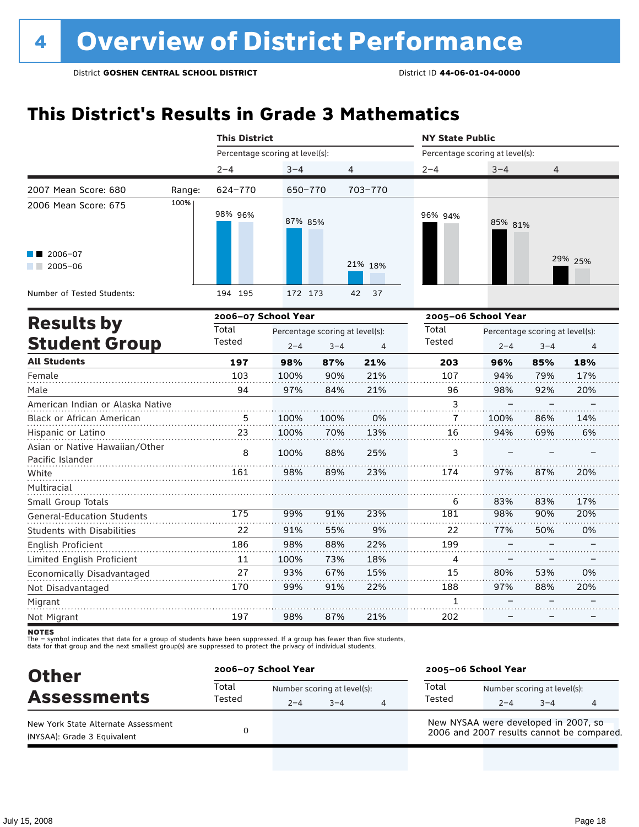### **This District's Results in Grade 3 Mathematics**

|                                                    |        |     |                                                                                                                                                                                                                                                                                                                                                                                                                                                                                                                                                                                                                                                                                                                                                                                                                                                                                                               |     |     | <b>NY State Public</b> |                                 |         |         |  |
|----------------------------------------------------|--------|-----|---------------------------------------------------------------------------------------------------------------------------------------------------------------------------------------------------------------------------------------------------------------------------------------------------------------------------------------------------------------------------------------------------------------------------------------------------------------------------------------------------------------------------------------------------------------------------------------------------------------------------------------------------------------------------------------------------------------------------------------------------------------------------------------------------------------------------------------------------------------------------------------------------------------|-----|-----|------------------------|---------------------------------|---------|---------|--|
|                                                    |        |     | <b>This District</b><br>Percentage scoring at level(s):<br>Percentage scoring at level(s):<br>$2 - 4$<br>$3 - 4$<br>4<br>$2 - 4$<br>$3 - 4$<br>624-770<br>703-770<br>650-770<br>98% 96%<br>96% 94%<br>87% 85%<br>85% 81%<br>21% 18%<br>194 195<br>172 173<br>37<br>42<br>2006-07 School Year<br>2005-06 School Year<br>Total<br>Total<br>Percentage scoring at level(s):<br>Tested<br>Tested<br>$2 - 4$<br>$3 - 4$<br>$\overline{4}$<br>$2 - 4$<br>197<br>98%<br>87%<br>21%<br>203<br>96%<br>21%<br>103<br>100%<br>90%<br>107<br>94%<br>94<br>97%<br>84%<br>21%<br>98%<br>96<br>3<br>100%<br>0%<br>5<br>100%<br>7<br>100%<br>23<br>13%<br>100%<br>70%<br>16<br>94%<br>8<br>100%<br>88%<br>25%<br>3<br>98%<br>89%<br>23%<br>161<br>174<br>97%<br>83%<br>6<br>98%<br>175<br>99%<br>91%<br>23%<br>181<br>22<br>55%<br>9%<br>22<br>77%<br>91%<br>22%<br>186<br>98%<br>88%<br>199<br>73%<br>18%<br>11<br>100%<br>4 |     |     |                        |                                 |         |         |  |
|                                                    |        |     |                                                                                                                                                                                                                                                                                                                                                                                                                                                                                                                                                                                                                                                                                                                                                                                                                                                                                                               |     |     |                        |                                 | 4       |         |  |
| 2007 Mean Score: 680                               | Range: |     |                                                                                                                                                                                                                                                                                                                                                                                                                                                                                                                                                                                                                                                                                                                                                                                                                                                                                                               |     |     |                        |                                 |         |         |  |
| 2006 Mean Score: 675                               | 100%   |     |                                                                                                                                                                                                                                                                                                                                                                                                                                                                                                                                                                                                                                                                                                                                                                                                                                                                                                               |     |     |                        |                                 |         |         |  |
| 2006-07<br>$2005 - 06$<br><b>Contract Contract</b> |        |     |                                                                                                                                                                                                                                                                                                                                                                                                                                                                                                                                                                                                                                                                                                                                                                                                                                                                                                               |     |     |                        |                                 |         | 29% 25% |  |
| Number of Tested Students:                         |        |     |                                                                                                                                                                                                                                                                                                                                                                                                                                                                                                                                                                                                                                                                                                                                                                                                                                                                                                               |     |     |                        |                                 |         |         |  |
|                                                    |        |     |                                                                                                                                                                                                                                                                                                                                                                                                                                                                                                                                                                                                                                                                                                                                                                                                                                                                                                               |     |     |                        |                                 |         |         |  |
| <b>Results by</b>                                  |        |     |                                                                                                                                                                                                                                                                                                                                                                                                                                                                                                                                                                                                                                                                                                                                                                                                                                                                                                               |     |     |                        | Percentage scoring at level(s): |         |         |  |
| <b>Student Group</b>                               |        |     |                                                                                                                                                                                                                                                                                                                                                                                                                                                                                                                                                                                                                                                                                                                                                                                                                                                                                                               |     |     |                        |                                 | $3 - 4$ | 4       |  |
| <b>All Students</b>                                |        |     |                                                                                                                                                                                                                                                                                                                                                                                                                                                                                                                                                                                                                                                                                                                                                                                                                                                                                                               |     |     |                        |                                 | 85%     | 18%     |  |
| Female                                             |        |     |                                                                                                                                                                                                                                                                                                                                                                                                                                                                                                                                                                                                                                                                                                                                                                                                                                                                                                               |     |     |                        |                                 | 79%     | 17%     |  |
| Male                                               |        |     |                                                                                                                                                                                                                                                                                                                                                                                                                                                                                                                                                                                                                                                                                                                                                                                                                                                                                                               |     |     |                        |                                 | 92%     | 20%     |  |
| American Indian or Alaska Native                   |        |     |                                                                                                                                                                                                                                                                                                                                                                                                                                                                                                                                                                                                                                                                                                                                                                                                                                                                                                               |     |     |                        |                                 |         |         |  |
| Black or African American                          |        |     |                                                                                                                                                                                                                                                                                                                                                                                                                                                                                                                                                                                                                                                                                                                                                                                                                                                                                                               |     |     |                        |                                 | 86%     | 14%     |  |
| Hispanic or Latino                                 |        |     |                                                                                                                                                                                                                                                                                                                                                                                                                                                                                                                                                                                                                                                                                                                                                                                                                                                                                                               |     |     |                        |                                 | 69%     | 6%      |  |
| Asian or Native Hawaiian/Other<br>Pacific Islander |        |     |                                                                                                                                                                                                                                                                                                                                                                                                                                                                                                                                                                                                                                                                                                                                                                                                                                                                                                               |     |     |                        |                                 |         |         |  |
| White                                              |        |     |                                                                                                                                                                                                                                                                                                                                                                                                                                                                                                                                                                                                                                                                                                                                                                                                                                                                                                               |     |     |                        |                                 | 87%     | 20%     |  |
| Multiracial                                        |        |     |                                                                                                                                                                                                                                                                                                                                                                                                                                                                                                                                                                                                                                                                                                                                                                                                                                                                                                               |     |     |                        |                                 |         |         |  |
| Small Group Totals                                 |        |     |                                                                                                                                                                                                                                                                                                                                                                                                                                                                                                                                                                                                                                                                                                                                                                                                                                                                                                               |     |     |                        |                                 | 83%     | 17%     |  |
| <b>General-Education Students</b>                  |        |     |                                                                                                                                                                                                                                                                                                                                                                                                                                                                                                                                                                                                                                                                                                                                                                                                                                                                                                               |     |     |                        |                                 | 90%     | 20%     |  |
| Students with Disabilities                         |        |     |                                                                                                                                                                                                                                                                                                                                                                                                                                                                                                                                                                                                                                                                                                                                                                                                                                                                                                               |     |     |                        |                                 | 50%     | 0%      |  |
| English Proficient                                 |        |     |                                                                                                                                                                                                                                                                                                                                                                                                                                                                                                                                                                                                                                                                                                                                                                                                                                                                                                               |     |     |                        |                                 |         |         |  |
| Limited English Proficient                         |        |     |                                                                                                                                                                                                                                                                                                                                                                                                                                                                                                                                                                                                                                                                                                                                                                                                                                                                                                               |     |     |                        |                                 |         |         |  |
| Economically Disadvantaged                         |        | 27  | 93%                                                                                                                                                                                                                                                                                                                                                                                                                                                                                                                                                                                                                                                                                                                                                                                                                                                                                                           | 67% | 15% | 15                     | 80%                             | 53%     | 0%      |  |
| Not Disadvantaged                                  |        | 170 | 99%                                                                                                                                                                                                                                                                                                                                                                                                                                                                                                                                                                                                                                                                                                                                                                                                                                                                                                           | 91% | 22% | 188                    | 97%                             | 88%     | 20%     |  |
| Migrant                                            |        |     |                                                                                                                                                                                                                                                                                                                                                                                                                                                                                                                                                                                                                                                                                                                                                                                                                                                                                                               |     |     | $\mathbf{1}$           |                                 |         |         |  |
| Not Migrant                                        |        | 197 | 98%                                                                                                                                                                                                                                                                                                                                                                                                                                                                                                                                                                                                                                                                                                                                                                                                                                                                                                           | 87% | 21% | 202                    |                                 |         |         |  |

**NOTES** 

| <b>Other</b>                                                       |                 | 2006-07 School Year |                                        |   |                                                                                   | 2005-06 School Year |                                        |   |  |
|--------------------------------------------------------------------|-----------------|---------------------|----------------------------------------|---|-----------------------------------------------------------------------------------|---------------------|----------------------------------------|---|--|
| <b>Assessments</b>                                                 | Total<br>Tested | $2 - 4$             | Number scoring at level(s):<br>$3 - 4$ | 4 | Total<br>Tested                                                                   | $2 - 4$             | Number scoring at level(s):<br>$3 - 4$ | 4 |  |
| New York State Alternate Assessment<br>(NYSAA): Grade 3 Equivalent |                 |                     |                                        |   | New NYSAA were developed in 2007, so<br>2006 and 2007 results cannot be compared. |                     |                                        |   |  |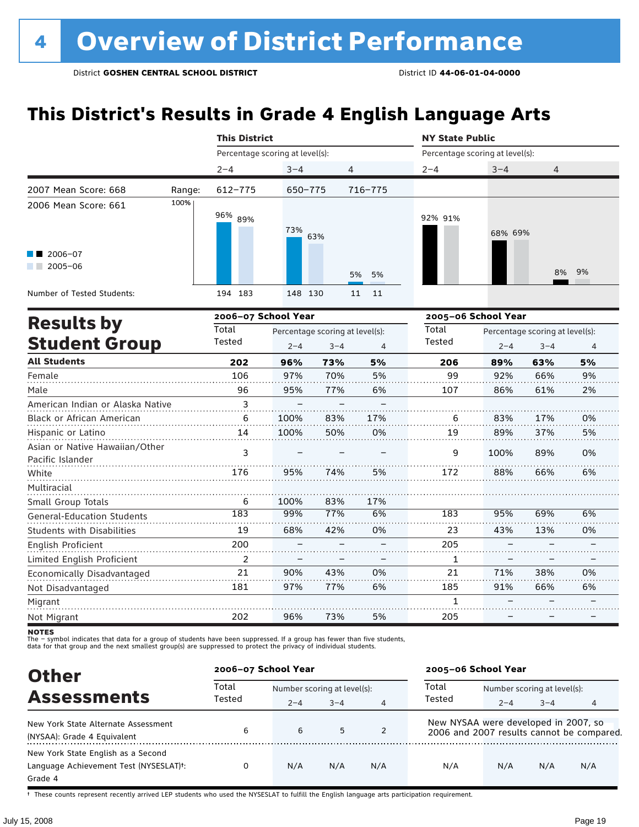### **This District's Results in Grade 4 English Language Arts**

|                                                    |        | <b>This District</b>            |                                 |          | <b>NY State Public</b> |                                 |       |  |  |
|----------------------------------------------------|--------|---------------------------------|---------------------------------|----------|------------------------|---------------------------------|-------|--|--|
|                                                    |        | Percentage scoring at level(s): |                                 |          |                        | Percentage scoring at level(s): |       |  |  |
|                                                    |        | $2 - 4$                         | $3 - 4$                         | 4        | $2 - 4$                | $3 - 4$                         | 4     |  |  |
| 2007 Mean Score: 668                               | Range: | 612-775                         | 650-775                         | 716-775  |                        |                                 |       |  |  |
| 2006 Mean Score: 661<br>$2006 - 07$<br>$2005 - 06$ | 100%   | 96% <sub>89%</sub>              | 73%<br>63%                      | 5% 5%    | 92% 91%                | 68% 69%                         | 8% 9% |  |  |
| Number of Tested Students:                         |        | 194 183                         | 148 130                         | 11<br>11 |                        |                                 |       |  |  |
| <b>Results by</b>                                  |        | 2006-07 School Year             |                                 |          |                        | 2005-06 School Year             |       |  |  |
| Student Groun                                      |        | Total<br>Tested                 | Percentage scoring at level(s): |          | Total<br>Tested        | Percentage scoring at level(s): |       |  |  |

| <b>Student Group</b>                               | Tested | $2 - 4$ | $3 - 4$ | 4   | Tested | $2 - 4$ | $3 - 4$ | $\overline{4}$ |
|----------------------------------------------------|--------|---------|---------|-----|--------|---------|---------|----------------|
| <b>All Students</b>                                | 202    | 96%     | 73%     | 5%  | 206    | 89%     | 63%     | 5%             |
| Female                                             | 106    | 97%     | 70%     | 5%  | 99     | 92%     | 66%     | 9%             |
| Male                                               | 96     | 95%     | 77%     | 6%  | 107    | 86%     | 61%     | 2%             |
| American Indian or Alaska Native                   | 3      |         |         |     |        |         |         |                |
| <b>Black or African American</b>                   | 6      | 100%    | 83%     | 17% | 6      | 83%     | 17%     | 0%             |
| Hispanic or Latino                                 | 14     | 100%    | 50%     | 0%  | 19     | 89%     | 37%     | 5%             |
| Asian or Native Hawaiian/Other<br>Pacific Islander | 3      |         |         |     | 9      | 100%    | 89%     | 0%             |
| White                                              | 176    | 95%     | 74%     | 5%  | 172    | 88%     | 66%     | 6%             |
| Multiracial                                        |        |         |         |     |        |         |         |                |
| Small Group Totals                                 | 6      | 100%    | 83%     | 17% |        |         |         |                |
| <b>General-Education Students</b>                  | 183    | 99%     | 77%     | 6%  | 183    | 95%     | 69%     | 6%             |
| <b>Students with Disabilities</b>                  | 19     | 68%     | 42%     | 0%  | 23     | 43%     | 13%     | 0%             |
| English Proficient                                 | 200    |         |         |     | 205    |         |         |                |
| Limited English Proficient                         | 2      |         |         |     | 1      |         |         |                |
| Economically Disadvantaged                         | 21     | 90%     | 43%     | 0%  | 21     | 71%     | 38%     | 0%             |
| Not Disadvantaged                                  | 181    | 97%     | 77%     | 6%  | 185    | 91%     | 66%     | 6%             |
| Migrant                                            |        |         |         |     | 1      |         |         |                |
| Not Migrant                                        | 202    | 96%     | 73%     | 5%  | 205    |         |         |                |

**NOTES** 

The – symbol indicates that data for a group of students have been suppressed. If a group has fewer than five students,<br>data for that group and the next smallest group(s) are suppressed to protect the privacy of individual

| <b>Other</b>                                                                                         | 2006-07 School Year |                             |         |     | 2005-06 School Year                  |                             |         |                                           |  |
|------------------------------------------------------------------------------------------------------|---------------------|-----------------------------|---------|-----|--------------------------------------|-----------------------------|---------|-------------------------------------------|--|
| <b>Assessments</b>                                                                                   | Total<br>Tested     | Number scoring at level(s): |         |     | Total                                | Number scoring at level(s): |         |                                           |  |
|                                                                                                      |                     | $2 - 4$                     | $3 - 4$ | 4   | Tested                               | $2 - 4$                     | $3 - 4$ | 4                                         |  |
| New York State Alternate Assessment<br>(NYSAA): Grade 4 Equivalent                                   | 6                   | 6                           | 5       | 2   | New NYSAA were developed in 2007, so |                             |         | 2006 and 2007 results cannot be compared. |  |
| New York State English as a Second<br>Language Achievement Test (NYSESLAT) <sup>+</sup> :<br>Grade 4 |                     | N/A                         | N/A     | N/A | N/A                                  | N/A                         | N/A     | N/A                                       |  |

† These counts represent recently arrived LEP students who used the NYSESLAT to fulfill the English language arts participation requirement.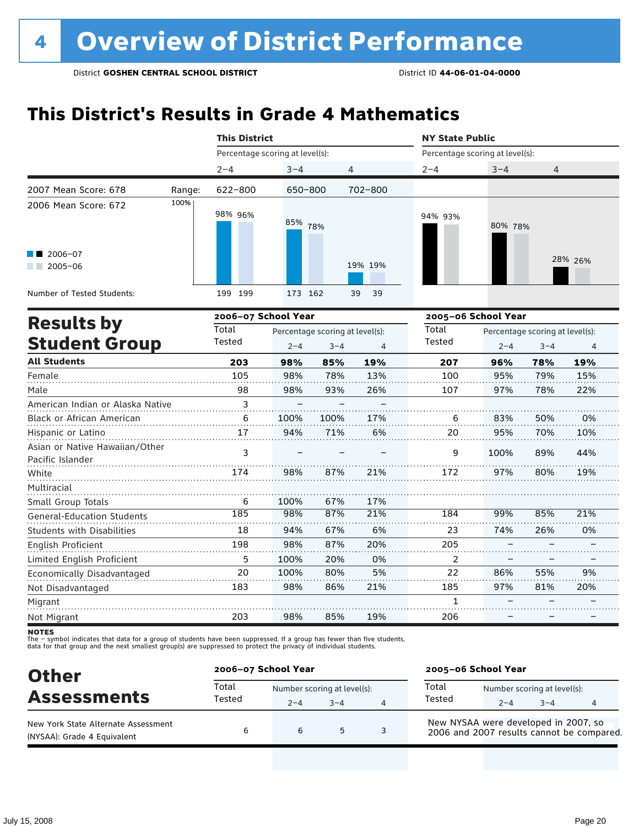### **This District's Results in Grade 4 Mathematics**

|                                                    |        |                                 | <b>This District</b> |                                 |                |                                 | <b>NY State Public</b> |                                 |         |  |  |
|----------------------------------------------------|--------|---------------------------------|----------------------|---------------------------------|----------------|---------------------------------|------------------------|---------------------------------|---------|--|--|
|                                                    |        | Percentage scoring at level(s): |                      |                                 |                | Percentage scoring at level(s): |                        |                                 |         |  |  |
|                                                    |        | $2 - 4$                         | $3 - 4$              | 4                               |                | $2 - 4$                         | $3 - 4$                | 4                               |         |  |  |
| 2007 Mean Score: 678                               | Range: | $622 - 800$                     | 650-800              |                                 | 702-800        |                                 |                        |                                 |         |  |  |
| 2006 Mean Score: 672                               | 100%   | 98% 96%                         | 85%                  | 78%                             |                | 94% 93%                         | 80% 78%                |                                 |         |  |  |
| 2006-07<br>$2005 - 06$                             |        |                                 |                      |                                 | 19% 19%        |                                 |                        |                                 | 28% 26% |  |  |
| Number of Tested Students:                         |        | 199 199                         | 173 162              |                                 | 39<br>39       |                                 |                        |                                 |         |  |  |
| <b>Results by</b>                                  |        | 2006-07 School Year             |                      |                                 |                | 2005-06 School Year             |                        |                                 |         |  |  |
|                                                    |        | Total                           |                      | Percentage scoring at level(s): |                | Total                           |                        | Percentage scoring at level(s): |         |  |  |
| <b>Student Group</b>                               |        | Tested                          | $2 - 4$              | $3 - 4$                         | $\overline{4}$ | Tested                          | $2 - 4$                | $3 - 4$                         | 4       |  |  |
| <b>All Students</b>                                |        | 203                             | 98%                  | 85%                             | 19%            | 207                             | 96%                    | 78%                             | 19%     |  |  |
| Female                                             |        | 105                             | 98%                  | 78%                             | 13%            | 100                             | 95%                    | 79%                             | 15%     |  |  |
| Male                                               |        | 98                              | 98%                  | 93%                             | 26%            | 107                             | 97%                    | 78%                             | 22%     |  |  |
| American Indian or Alaska Native                   |        | 3                               |                      |                                 |                |                                 |                        |                                 |         |  |  |
| Black or African American                          |        | 6                               | 100%                 | 100%                            | 17%            | 6                               | 83%                    | 50%                             | 0%      |  |  |
| Hispanic or Latino                                 |        | 17                              | 94%                  | 71%                             | 6%             | 20                              | 95%                    | 70%                             | 10%     |  |  |
| Asian or Native Hawaiian/Other<br>Pacific Islander |        | 3                               |                      |                                 |                | 9                               | 100%                   | 89%                             | 44%     |  |  |
| White                                              |        | 174                             | 98%                  | 87%                             | 21%            | 172                             | 97%                    | 80%                             | 19%     |  |  |
| Multiracial                                        |        |                                 |                      |                                 |                |                                 |                        |                                 |         |  |  |
| Small Group Totals                                 |        | 6                               | 100%                 | 67%                             | 17%            |                                 |                        |                                 |         |  |  |
| <b>General-Education Students</b>                  |        | 185                             | 98%                  | 87%                             | 21%            | 184                             | 99%                    | 85%                             | 21%     |  |  |
| Students with Disabilities                         |        | 18                              | 94%                  | 67%                             | 6%             | 23                              | 74%                    | 26%                             | 0%      |  |  |
| English Proficient                                 |        | 198                             | 98%                  | 87%                             | 20%            | 205                             |                        |                                 |         |  |  |
| Limited English Proficient                         |        | 5                               | 100%                 | 20%                             | 0%             | $\overline{2}$                  |                        |                                 |         |  |  |
| Economically Disadvantaged                         |        | 20                              | 100%                 | 80%                             | 5%             | 22                              | 86%                    | 55%                             | 9%      |  |  |
| Not Disadvantaged                                  |        | 183                             | 98%                  | 86%                             | 21%            | 185                             | 97%                    | 81%                             | 20%     |  |  |
| Migrant                                            |        |                                 |                      |                                 |                | 1                               |                        |                                 |         |  |  |

**NOTES** 

Not Migrant

The – symbol indicates that data for a group of students have been suppressed. If a group has fewer than five students,<br>data for that group and the next smallest group(s) are suppressed to protect the privacy of individual

203

| <b>Other</b>                                                       | 2006-07 School Year |                                        |         |   | 2005-06 School Year                                                               |                                        |         |   |
|--------------------------------------------------------------------|---------------------|----------------------------------------|---------|---|-----------------------------------------------------------------------------------|----------------------------------------|---------|---|
| <b>Assessments</b>                                                 | Total<br>Tested     | Number scoring at level(s):<br>$2 - 4$ | $3 - 4$ | 4 | Total<br>Tested                                                                   | Number scoring at level(s):<br>$2 - 4$ | $3 - 4$ | 4 |
| New York State Alternate Assessment<br>(NYSAA): Grade 4 Equivalent | 6                   | 6                                      | 5       |   | New NYSAA were developed in 2007, so<br>2006 and 2007 results cannot be compared. |                                        |         |   |

85%

19%

206

–

–

–

98%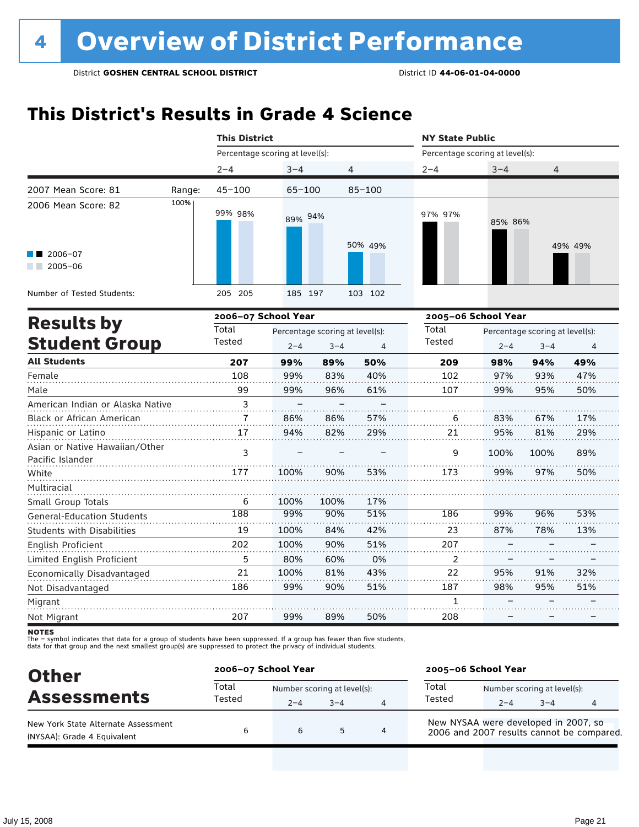### **This District's Results in Grade 4 Science**

|                                                    |        | <b>This District</b>            |                         |                                 |            | <b>NY State Public</b>          |                                 |      |         |  |  |
|----------------------------------------------------|--------|---------------------------------|-------------------------|---------------------------------|------------|---------------------------------|---------------------------------|------|---------|--|--|
|                                                    |        | Percentage scoring at level(s): |                         |                                 |            | Percentage scoring at level(s): |                                 |      |         |  |  |
|                                                    |        | $2 - 4$                         | $3 - 4$                 | 4                               |            | $2 - 4$                         | $3 - 4$                         | 4    |         |  |  |
| 2007 Mean Score: 81                                | Range: | $45 - 100$                      | $65 - 100$              |                                 | $85 - 100$ |                                 |                                 |      |         |  |  |
| 2006 Mean Score: 82                                | 100%   | 99% 98%                         | 89% 94%                 |                                 | 50% 49%    | 97% 97%                         | 85% 86%                         |      | 49% 49% |  |  |
| 2006-07<br>$2005 - 06$                             |        |                                 |                         |                                 |            |                                 |                                 |      |         |  |  |
| Number of Tested Students:                         |        | 205<br>205                      | 185 197                 |                                 | 103 102    |                                 |                                 |      |         |  |  |
| <b>Results by</b>                                  |        | 2006-07 School Year             |                         |                                 |            | 2005-06 School Year             |                                 |      |         |  |  |
|                                                    |        | Total                           |                         | Percentage scoring at level(s): |            | Total                           | Percentage scoring at level(s): |      |         |  |  |
| <b>Student Group</b>                               |        | Tested                          | $2 - 4$<br>$3 - 4$<br>4 |                                 | Tested     | $2 - 4$                         | $3 - 4$                         | 4    |         |  |  |
| <b>All Students</b>                                |        | 207                             | 99%                     | 89%                             | 50%        | 209                             | 98%                             | 94%  | 49%     |  |  |
| Female                                             |        | 108                             | 99%                     | 83%                             | 40%        | 102                             | 97%                             | 93%  | 47%     |  |  |
| Male                                               |        | 99                              | 99%                     | 96%                             | 61%        | 107                             | 99%                             | 95%  | 50%     |  |  |
| American Indian or Alaska Native                   |        | 3                               |                         |                                 |            |                                 |                                 |      |         |  |  |
| Black or African American                          |        | $\overline{7}$                  | 86%                     | 86%                             | 57%        | 6                               | 83%                             | 67%  | 17%     |  |  |
| Hispanic or Latino                                 |        | 17                              | 94%                     | 82%                             | 29%        | 21                              | 95%                             | 81%  | 29%     |  |  |
| Asian or Native Hawaiian/Other<br>Pacific Islander |        | 3                               |                         |                                 |            | 9                               | 100%                            | 100% | 89%     |  |  |
| White                                              |        | 177                             | 100%                    | 90%                             | 53%        | 173                             | 99%                             | 97%  | 50%     |  |  |

| Multiracial                       |     |      |      |     |     |     |     |     |
|-----------------------------------|-----|------|------|-----|-----|-----|-----|-----|
| Small Group Totals                | 6   | 100% | 100% | 17% |     |     |     |     |
| <b>General-Education Students</b> | 188 | 99%  | 90%  | 51% | 186 | 99% | 96% | 53% |
| <b>Students with Disabilities</b> | 19  | 100% | 84%  | 42% | 23  | 87% | 78% | 13% |
| English Proficient                | 202 | 100% | 90%  | 51% | 207 |     |     |     |
| Limited English Proficient        |     | 80%  | 60%  | 0%  |     |     |     |     |
| Economically Disadvantaged        | 21  | 100% | 81%  | 43% | 22  | 95% | 91% | 32% |
| Not Disadvantaged                 | 186 | 99%  | 90%  | 51% | 187 | 98% | 95% | 51% |
| Migrant                           |     |      |      |     |     |     |     |     |
| Not Migrant                       | 207 | 99%  | 89%  | 50% | 208 |     |     |     |

**NOTES** 

| <b>Other</b>                                                       | 2006-07 School Year |                                        |         |   | 2005-06 School Year                                                               |                                        |         |   |
|--------------------------------------------------------------------|---------------------|----------------------------------------|---------|---|-----------------------------------------------------------------------------------|----------------------------------------|---------|---|
| <b>Assessments</b>                                                 | Total<br>Tested     | Number scoring at level(s):<br>$2 - 4$ | $3 - 4$ | 4 | Total<br>Tested                                                                   | Number scoring at level(s):<br>$2 - 4$ | $3 - 4$ | 4 |
| New York State Alternate Assessment<br>(NYSAA): Grade 4 Equivalent | 6                   | 6                                      | 5       |   | New NYSAA were developed in 2007, so<br>2006 and 2007 results cannot be compared. |                                        |         |   |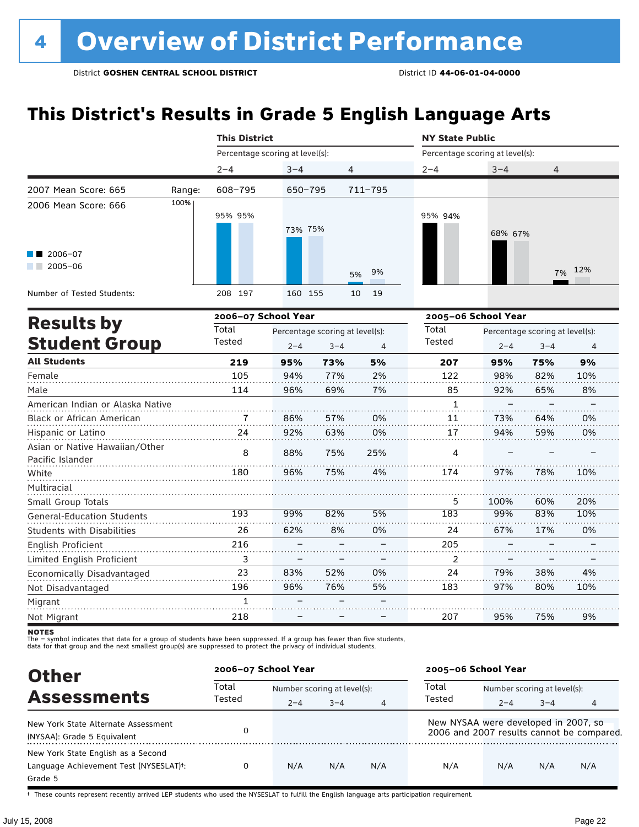## **This District's Results in Grade 5 English Language Arts**

|                                                    |        | <b>This District</b> |                                 |                                 |             |                                 | <b>NY State Public</b>          |         |     |  |  |  |
|----------------------------------------------------|--------|----------------------|---------------------------------|---------------------------------|-------------|---------------------------------|---------------------------------|---------|-----|--|--|--|
|                                                    |        |                      | Percentage scoring at level(s): |                                 |             | Percentage scoring at level(s): |                                 |         |     |  |  |  |
|                                                    |        | $2 - 4$              | $3 - 4$                         | 4                               |             | $2 - 4$                         | $3 - 4$                         | 4       |     |  |  |  |
| 2007 Mean Score: 665                               | Range: | 608-795              | $650 - 795$                     |                                 | $711 - 795$ |                                 |                                 |         |     |  |  |  |
| 2006 Mean Score: 666                               | 100%   | 95% 95%              | 73% 75%                         |                                 |             | 95% 94%                         | 68% 67%                         |         |     |  |  |  |
| $\blacksquare$ 2006-07<br>$2005 - 06$              |        |                      |                                 |                                 | 9%<br>5%    |                                 |                                 | 7%      | 12% |  |  |  |
| Number of Tested Students:                         |        | 208 197              | 160 155                         |                                 | 19<br>10    |                                 |                                 |         |     |  |  |  |
|                                                    |        | 2006-07 School Year  |                                 |                                 |             | 2005-06 School Year             |                                 |         |     |  |  |  |
| <b>Results by</b>                                  |        | Total                |                                 | Percentage scoring at level(s): |             | Total                           | Percentage scoring at level(s): |         |     |  |  |  |
| <b>Student Group</b>                               |        | Tested               | $2 - 4$                         | $3 - 4$                         | 4           | Tested                          | $2 - 4$                         | $3 - 4$ | 4   |  |  |  |
| <b>All Students</b>                                |        | 219                  | 95%                             | 73%                             | 5%          | 207                             | 95%                             | 75%     | 9%  |  |  |  |
| Female                                             |        | 105                  | 94%                             | 77%                             | 2%          | 122                             | 98%                             | 82%     | 10% |  |  |  |
| Male                                               |        | 114                  | 96%                             | 69%                             | 7%          | 85                              | 92%                             | 65%     | 8%  |  |  |  |
| American Indian or Alaska Native                   |        |                      |                                 |                                 |             | 1                               |                                 |         |     |  |  |  |
| Black or African American                          |        | $\overline{7}$       | 86%                             | 57%                             | 0%          | 11                              | 73%                             | 64%     | 0%  |  |  |  |
| Hispanic or Latino                                 |        | 24                   | 92%                             | 63%                             | 0%          | 17                              | 94%                             | 59%     | 0%  |  |  |  |
| Asian or Native Hawaiian/Other<br>Pacific Islander |        | 8                    | 88%                             | 75%                             | 25%         | 4                               |                                 |         |     |  |  |  |
| White                                              |        | 180                  | 96%                             | 75%                             | 4%          | 174                             | 97%                             | 78%     | 10% |  |  |  |
| Multiracial                                        |        |                      |                                 |                                 |             |                                 |                                 |         |     |  |  |  |

Migrant Not Migrant

Small Group Totals

English Proficient

Not Disadvantaged

General-Education Students Students with Disabilities

Limited English Proficient Economically Disadvantaged

The – symbol indicates that data for a group of students have been suppressed. If a group has fewer than five students,

99% 62% – – 83% 96%

82% 8% – – 52% 76% – –

5% 0% – – 0% 5% – –

100% 99% 67% – – 79% 97%

60% 83% 17% – – 38% 80%

20% 10% 0% – – 4% 10%

9%

75%

95%

207

– –

The – symbot muicates that data for a group of students have been suppressed. In a group has fewer than five<br>data for that group and the next smallest group(s) are suppressed to protect the privacy of individual students.

| <b>Other</b>                                                                                         | 2006-07 School Year |                             |         |     | 2005-06 School Year                  |                             |         |                                           |  |
|------------------------------------------------------------------------------------------------------|---------------------|-----------------------------|---------|-----|--------------------------------------|-----------------------------|---------|-------------------------------------------|--|
| <b>Assessments</b>                                                                                   | Total<br>Tested     | Number scoring at level(s): |         |     | Total                                | Number scoring at level(s): |         |                                           |  |
|                                                                                                      |                     | $2 - 4$                     | $3 - 4$ | 4   | Tested                               | $2 - 4$                     | $3 - 4$ | 4                                         |  |
| New York State Alternate Assessment<br>(NYSAA): Grade 5 Equivalent                                   |                     |                             |         |     | New NYSAA were developed in 2007, so |                             |         | 2006 and 2007 results cannot be compared. |  |
| New York State English as a Second<br>Language Achievement Test (NYSESLAT) <sup>+</sup> :<br>Grade 5 |                     | N/A                         | N/A     | N/A | N/A                                  | N/A                         | N/A     | N/A                                       |  |

† These counts represent recently arrived LEP students who used the NYSESLAT to fulfill the English language arts participation requirement.

**NOTES**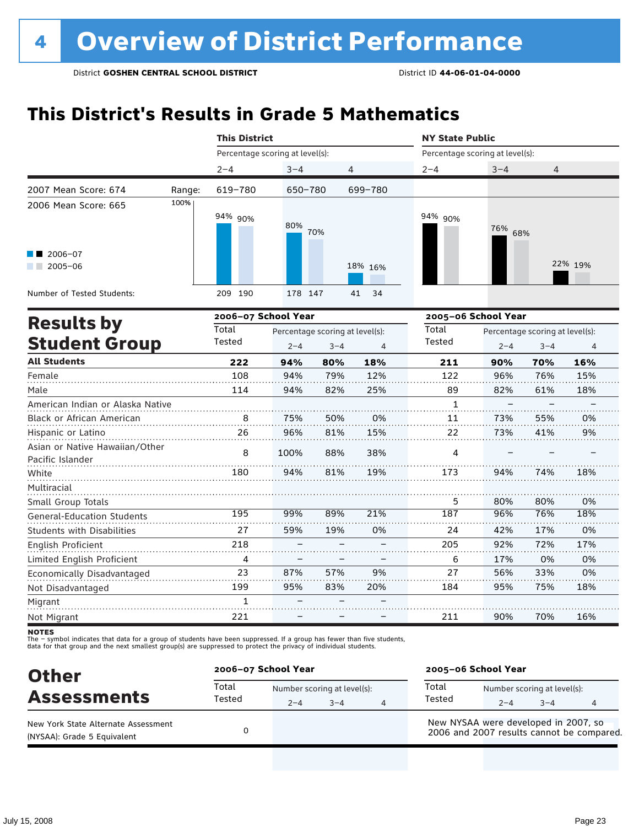## **This District's Results in Grade 5 Mathematics**

|                                                    |        | <b>This District</b>            |                                 |         |                | <b>NY State Public</b>          |            |                                 |         |  |
|----------------------------------------------------|--------|---------------------------------|---------------------------------|---------|----------------|---------------------------------|------------|---------------------------------|---------|--|
|                                                    |        | Percentage scoring at level(s): |                                 |         |                | Percentage scoring at level(s): |            |                                 |         |  |
|                                                    |        | $2 - 4$                         | $3 - 4$                         | 4       |                | $2 - 4$                         | $3 - 4$    | 4                               |         |  |
| 2007 Mean Score: 674                               | Range: | 619-780                         | 650-780                         |         | 699-780        |                                 |            |                                 |         |  |
| 2006 Mean Score: 665                               | 100%   | 94% 90%                         | 80%                             | 70%     |                | 94% 90%                         | 76%<br>68% |                                 |         |  |
| 2006-07<br>$2005 - 06$                             |        |                                 |                                 |         | 18% 16%        |                                 |            |                                 | 22% 19% |  |
| Number of Tested Students:                         |        | 209 190                         | 178 147                         |         | 34<br>41       |                                 |            |                                 |         |  |
|                                                    |        | 2006-07 School Year             |                                 |         |                | 2005-06 School Year             |            |                                 |         |  |
| <b>Results by</b>                                  |        | Total                           | Percentage scoring at level(s): |         |                | Total                           |            | Percentage scoring at level(s): |         |  |
| <b>Student Group</b>                               |        | Tested                          | $2 - 4$                         | $3 - 4$ | $\overline{4}$ | Tested                          | $2 - 4$    | $3 - 4$                         | 4       |  |
| <b>All Students</b>                                |        | 222                             | 94%                             | 80%     | 18%            | 211                             | 90%        | 70%                             | 16%     |  |
| Female                                             |        | 108                             | 94%                             | 79%     | 12%            | 122                             | 96%        | 76%                             | 15%     |  |
| Male                                               |        | 114                             | 94%                             | 82%     | 25%            | 89                              | 82%        | 61%                             | 18%     |  |
| American Indian or Alaska Native                   |        |                                 |                                 |         |                | $\mathbf{1}$                    |            |                                 |         |  |
| Black or African American                          |        | 8                               | 75%                             | 50%     | 0%             | 11                              | 73%        | 55%                             | 0%      |  |
| Hispanic or Latino                                 |        | 26                              | 96%                             | 81%     | 15%            | 22                              | 73%        | 41%                             | 9%      |  |
| Asian or Native Hawaiian/Other<br>Pacific Islander |        | 8                               | 100%                            | 88%     | 38%            | 4                               |            |                                 |         |  |
| White                                              |        | 180                             | 94%                             | 81%     | 19%            | 173                             | 94%        | 74%                             | 18%     |  |
| Multiracial                                        |        |                                 |                                 |         |                |                                 |            |                                 |         |  |
| Small Group Totals                                 |        |                                 |                                 |         |                | 5                               | 80%        | 80%                             | 0%      |  |
| <b>General-Education Students</b>                  |        | 195                             | 99%                             | 89%     | 21%            | 187                             | 96%        | 76%                             | 18%     |  |
| Students with Disabilities                         |        | 27                              | 59%                             | 19%     | 0%             | 24                              | 42%        | 17%                             | 0%      |  |
| English Proficient                                 |        | 218                             |                                 |         |                | 205                             | 92%        | 72%                             | 17%     |  |
| Limited English Proficient                         |        | 4                               |                                 |         |                | 6                               | 17%        | 0%                              | 0%      |  |
| Economically Disadvantaged                         |        | 23                              | 87%                             | 57%     | 9%             | 27                              | 56%        | 33%                             | 0%      |  |
| Not Disadvantaged                                  |        | 199                             | 95%                             | 83%     | 20%            | 184                             | 95%        | 75%                             | 18%     |  |
| Migrant                                            |        | 1                               |                                 |         |                |                                 |            |                                 |         |  |
| Not Migrant                                        |        | 221                             |                                 |         |                | 211                             | 90%        | 70%                             | 16%     |  |

**NOTES** 

| <b>Other</b>                                                       |                 | 2006-07 School Year |                                        |  |                                                                                   | 2005-06 School Year |                                        |   |  |  |
|--------------------------------------------------------------------|-----------------|---------------------|----------------------------------------|--|-----------------------------------------------------------------------------------|---------------------|----------------------------------------|---|--|--|
| <b>Assessments</b>                                                 | Total<br>Tested | $2 - 4$             | Number scoring at level(s):<br>$3 - 4$ |  | Total<br>Tested                                                                   | $2 - 4$             | Number scoring at level(s):<br>$3 - 4$ | 4 |  |  |
| New York State Alternate Assessment<br>(NYSAA): Grade 5 Equivalent |                 |                     |                                        |  | New NYSAA were developed in 2007, so<br>2006 and 2007 results cannot be compared. |                     |                                        |   |  |  |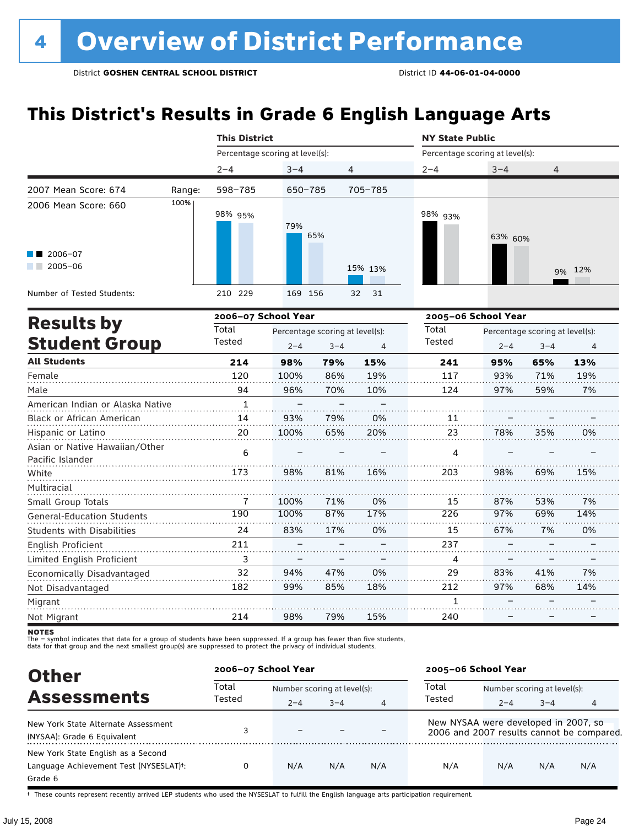## **This District's Results in Grade 6 English Language Arts**

|                                                |        | <b>This District</b>            |            |                |                                 | <b>NY State Public</b> |                |  |  |  |
|------------------------------------------------|--------|---------------------------------|------------|----------------|---------------------------------|------------------------|----------------|--|--|--|
|                                                |        | Percentage scoring at level(s): |            |                | Percentage scoring at level(s): |                        |                |  |  |  |
|                                                |        | $2 - 4$                         | $3 - 4$    | $\overline{4}$ | $2 - 4$                         | $3 - 4$                | $\overline{4}$ |  |  |  |
| 2007 Mean Score: 674                           | Range: | 598-785                         | 650-785    | 705-785        |                                 |                        |                |  |  |  |
| 2006 Mean Score: 660<br>2006-07<br>$2005 - 06$ | 100%   | 98% 95%                         | 79%<br>65% | 15% 13%        | 98% <sub>93%</sub>              | 63% 60%                | 9% 12%         |  |  |  |
| Number of Tested Students:                     |        | 210 229                         | 169 156    | 32 31          |                                 |                        |                |  |  |  |
| 2006-07 School Year<br><b>Doculte by</b>       |        |                                 |            |                | 2005-06 School Year             |                        |                |  |  |  |

| <b>Results by</b>                                  |              | 2006–07 School Year |                                 |     | 2005–06 School Year |         |                                 |     |  |
|----------------------------------------------------|--------------|---------------------|---------------------------------|-----|---------------------|---------|---------------------------------|-----|--|
|                                                    | Total        |                     | Percentage scoring at level(s): |     | Total               |         | Percentage scoring at level(s): |     |  |
| <b>Student Group</b>                               | Tested       | $2 - 4$             | $3 - 4$                         | 4   | Tested              | $2 - 4$ | $3 - 4$                         | 4   |  |
| <b>All Students</b>                                | 214          | 98%                 | 79%                             | 15% | 241                 | 95%     | 65%                             | 13% |  |
| Female                                             | 120          | 100%                | 86%                             | 19% | 117                 | 93%     | 71%                             | 19% |  |
| Male                                               | 94           | 96%                 | 70%                             | 10% | 124                 | 97%     | 59%                             | 7%  |  |
| American Indian or Alaska Native                   | $\mathbf{1}$ |                     |                                 |     |                     |         |                                 |     |  |
| <b>Black or African American</b>                   | 14           | 93%                 | 79%                             | 0%  | 11                  |         |                                 |     |  |
| Hispanic or Latino                                 | 20           | 100%                | 65%                             | 20% | 23                  | 78%     | 35%                             | 0%  |  |
| Asian or Native Hawaiian/Other<br>Pacific Islander | 6            |                     |                                 |     | 4                   |         |                                 |     |  |
| White                                              | 173          | 98%                 | 81%                             | 16% | 203                 | 98%     | 69%                             | 15% |  |
| Multiracial                                        |              |                     |                                 |     |                     |         |                                 |     |  |
| Small Group Totals                                 | 7            | 100%                | 71%                             | 0%  | 15                  | 87%     | 53%                             | 7%  |  |
| <b>General-Education Students</b>                  | 190          | 100%                | 87%                             | 17% | 226                 | 97%     | 69%                             | 14% |  |
| <b>Students with Disabilities</b>                  | 24           | 83%                 | 17%                             | 0%  | 15                  | 67%     | 7%                              | 0%  |  |
| English Proficient                                 | 211          |                     |                                 |     | 237                 |         |                                 |     |  |
| Limited English Proficient                         | 3            |                     |                                 |     | 4                   |         |                                 |     |  |
| Economically Disadvantaged                         | 32           | 94%                 | 47%                             | 0%  | 29                  | 83%     | 41%                             | 7%  |  |
| Not Disadvantaged                                  | 182          | 99%                 | 85%                             | 18% | 212                 | 97%     | 68%                             | 14% |  |
| Migrant                                            |              |                     |                                 |     |                     |         |                                 |     |  |
| Not Migrant                                        | 214          | 98%                 | 79%                             | 15% | 240                 |         |                                 |     |  |

**NOTES** 

The – symbol indicates that data for a group of students have been suppressed. If a group has fewer than five students,<br>data for that group and the next smallest group(s) are suppressed to protect the privacy of individual

| <b>Other</b>                                                                                         |                 | 2006-07 School Year         |         |     |                                      | 2005-06 School Year         |         |                                           |  |
|------------------------------------------------------------------------------------------------------|-----------------|-----------------------------|---------|-----|--------------------------------------|-----------------------------|---------|-------------------------------------------|--|
| <b>Assessments</b>                                                                                   | Total<br>Tested | Number scoring at level(s): |         |     | Total                                | Number scoring at level(s): |         |                                           |  |
|                                                                                                      |                 | $2 - 4$                     | $3 - 4$ | 4   | Tested                               | $2 - 4$                     | $3 - 4$ | 4                                         |  |
| New York State Alternate Assessment<br>(NYSAA): Grade 6 Equivalent                                   |                 | $\overline{\phantom{0}}$    |         |     | New NYSAA were developed in 2007, so |                             |         | 2006 and 2007 results cannot be compared. |  |
| New York State English as a Second<br>Language Achievement Test (NYSESLAT) <sup>+</sup> :<br>Grade 6 |                 | N/A                         | N/A     | N/A | N/A                                  | N/A                         | N/A     | N/A                                       |  |

† These counts represent recently arrived LEP students who used the NYSESLAT to fulfill the English language arts participation requirement.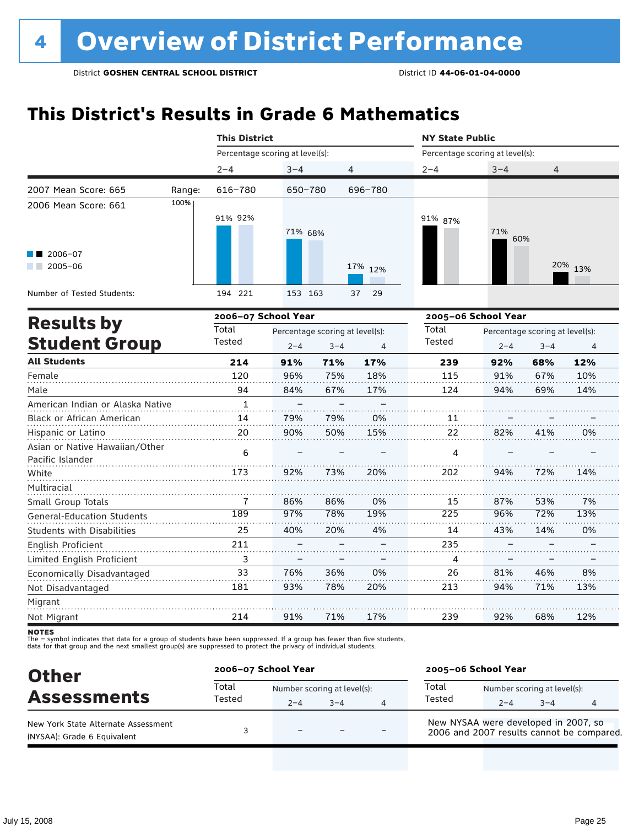### **This District's Results in Grade 6 Mathematics**

|                                                               |        | <b>This District</b>            |         |                | <b>NY State Public</b>          |            |         |  |  |
|---------------------------------------------------------------|--------|---------------------------------|---------|----------------|---------------------------------|------------|---------|--|--|
|                                                               |        | Percentage scoring at level(s): |         |                | Percentage scoring at level(s): |            |         |  |  |
|                                                               |        | $2 - 4$                         | $3 - 4$ | $\overline{4}$ | $2 - 4$                         | $3 - 4$    | 4       |  |  |
| 2007 Mean Score: 665                                          | Range: | 616-780                         | 650-780 | 696-780        |                                 |            |         |  |  |
| 2006 Mean Score: 661<br>$\blacksquare$ 2006-07<br>$2005 - 06$ | 100%   | 91% 92%                         | 71% 68% | 17% 12%        | 91% 87%                         | 71%<br>60% | 20% 13% |  |  |
| Number of Tested Students:                                    |        | 194 221                         | 153 163 | 37<br>- 29     |                                 |            |         |  |  |

|                                                    |              | 2006-07 School Year |                                 |     | 2005-06 School Year |         |                                 |     |  |
|----------------------------------------------------|--------------|---------------------|---------------------------------|-----|---------------------|---------|---------------------------------|-----|--|
| <b>Results by</b>                                  | Total        |                     | Percentage scoring at level(s): |     | Total               |         | Percentage scoring at level(s): |     |  |
| <b>Student Group</b>                               | Tested       | $2 - 4$             | $3 - 4$                         | 4   | Tested              | $2 - 4$ | $3 - 4$                         | 4   |  |
| <b>All Students</b>                                | 214          | 91%                 | 71%                             | 17% | 239                 | 92%     | 68%                             | 12% |  |
| Female                                             | 120          | 96%                 | 75%                             | 18% | 115                 | 91%     | 67%                             | 10% |  |
| Male                                               | 94           | 84%                 | 67%                             | 17% | 124                 | 94%     | 69%                             | 14% |  |
| American Indian or Alaska Native                   | $\mathbf{1}$ |                     |                                 |     |                     |         |                                 |     |  |
| <b>Black or African American</b>                   | 14           | 79%                 | 79%                             | 0%  | 11                  |         |                                 |     |  |
| Hispanic or Latino                                 | 20           | 90%                 | 50%                             | 15% | 22                  | 82%     | 41%                             | 0%  |  |
| Asian or Native Hawaiian/Other<br>Pacific Islander | 6            |                     |                                 |     | 4                   |         |                                 |     |  |
| White                                              | 173          | 92%                 | 73%                             | 20% | 202                 | 94%     | 72%                             | 14% |  |
| Multiracial                                        |              |                     |                                 |     |                     |         |                                 |     |  |
| Small Group Totals                                 | 7            | 86%                 | 86%                             | 0%  | 15                  | 87%     | 53%                             | 7%  |  |
| <b>General-Education Students</b>                  | 189          | 97%                 | 78%                             | 19% | 225                 | 96%     | 72%                             | 13% |  |
| <b>Students with Disabilities</b>                  | 25           | 40%                 | 20%                             | 4%  | 14                  | 43%     | 14%                             | 0%  |  |
| English Proficient                                 | 211          |                     |                                 |     | 235                 |         |                                 |     |  |
| Limited English Proficient                         | 3            |                     |                                 |     | 4                   |         |                                 |     |  |
| Economically Disadvantaged                         | 33           | 76%                 | 36%                             | 0%  | 26                  | 81%     | 46%                             | 8%  |  |
| Not Disadvantaged                                  | 181          | 93%                 | 78%                             | 20% | 213                 | 94%     | 71%                             | 13% |  |
| Migrant                                            |              |                     |                                 |     |                     |         |                                 |     |  |
| Not Migrant                                        | 214          | 91%                 | 71%                             | 17% | 239                 | 92%     | 68%                             | 12% |  |

**NOTES** 

| <b>Other</b>                                                       |                 | 2006-07 School Year                    |      |   |                                                                                   | 2005-06 School Year              |  |  |  |
|--------------------------------------------------------------------|-----------------|----------------------------------------|------|---|-----------------------------------------------------------------------------------|----------------------------------|--|--|--|
| <b>Assessments</b>                                                 | Total<br>Tested | Number scoring at level(s):<br>$2 - 4$ | $-4$ | Δ | Total<br>Tested                                                                   | Number scoring at level(s):<br>4 |  |  |  |
| New York State Alternate Assessment<br>(NYSAA): Grade 6 Equivalent |                 | $\overline{\phantom{0}}$               |      |   | New NYSAA were developed in 2007, so<br>2006 and 2007 results cannot be compared. |                                  |  |  |  |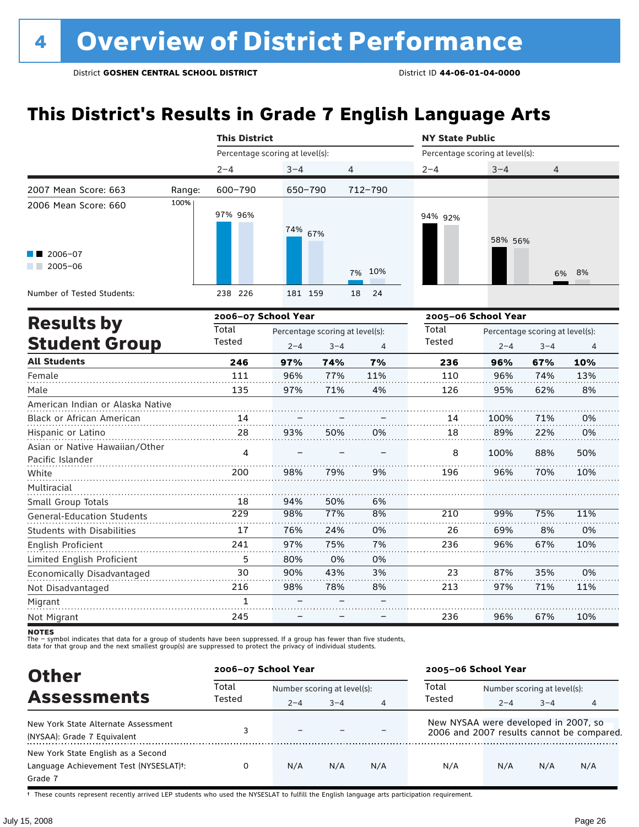## **This District's Results in Grade 7 English Language Arts**

|                                                    |        | <b>This District</b>            |         |                                 |           |                                 | <b>NY State Public</b>          |         |                |  |  |  |
|----------------------------------------------------|--------|---------------------------------|---------|---------------------------------|-----------|---------------------------------|---------------------------------|---------|----------------|--|--|--|
|                                                    |        | Percentage scoring at level(s): |         |                                 |           | Percentage scoring at level(s): |                                 |         |                |  |  |  |
|                                                    |        | $2 - 4$                         | $3 - 4$ | 4                               |           | $2 - 4$                         | $3 - 4$                         | 4       |                |  |  |  |
| 2007 Mean Score: 663                               | Range: | 600-790                         | 650-790 |                                 | 712-790   |                                 |                                 |         |                |  |  |  |
| 2006 Mean Score: 660                               | 100%   | 97% 96%                         | 74%     | 67%                             |           | 94% 92%                         | 58% 56%                         |         |                |  |  |  |
| $\blacksquare$ 2006-07<br>$2005 - 06$              |        |                                 |         |                                 | 10%<br>7% |                                 |                                 | 6%      | 8%             |  |  |  |
| Number of Tested Students:                         |        | 238 226                         | 181 159 |                                 | 18<br>24  |                                 |                                 |         |                |  |  |  |
|                                                    |        | 2006-07 School Year             |         |                                 |           | 2005-06 School Year             |                                 |         |                |  |  |  |
| <b>Results by</b>                                  |        | Total                           |         | Percentage scoring at level(s): |           | Total                           | Percentage scoring at level(s): |         |                |  |  |  |
| <b>Student Group</b>                               |        | Tested                          | $2 - 4$ | $3 - 4$                         | 4         | Tested                          | $2 - 4$                         | $3 - 4$ | $\overline{4}$ |  |  |  |
| <b>All Students</b>                                |        | 246                             | 97%     | 74%                             | 7%        | 236                             | 96%                             | 67%     | 10%            |  |  |  |
| Female                                             |        | 111                             | 96%     | 77%                             | 11%       | 110                             | 96%                             | 74%     | 13%            |  |  |  |
| Male                                               |        | 135                             | 97%     | 71%                             | 4%        | 126                             | 95%                             | 62%     | 8%             |  |  |  |
| American Indian or Alaska Native                   |        |                                 |         |                                 |           |                                 |                                 |         |                |  |  |  |
| Black or African American                          |        | 14                              |         |                                 |           | 14                              | 100%                            | 71%     | 0%             |  |  |  |
| Hispanic or Latino                                 |        | 28                              | 93%     | 50%                             | 0%        | 18                              | 89%                             | 22%     | 0%             |  |  |  |
| Asian or Native Hawaiian/Other<br>Pacific Islander |        | 4                               |         |                                 |           | 8                               | 100%                            | 88%     | 50%            |  |  |  |
| White                                              |        | 200                             | 98%     | 79%                             | 9%        | 196                             | 96%                             | 70%     | 10%            |  |  |  |
| Multiracial                                        |        |                                 |         |                                 |           |                                 |                                 |         |                |  |  |  |

Migrant Not Migrant

Small Group Totals

English Proficient

Not Disadvantaged

General-Education Students Students with Disabilities

Limited English Proficient Economically Disadvantaged

.<br>– symbol indicates that data for a group of students have been suppressed. If a group has fewer than five students,

94% 98% 76% 97% 80% 90% 98% – –

50% 77% 24% 75% 0% 43% 78% – –

6% 8% 0% 7% 0% 3% 8%

210 26 236

99% 69% 96%

75% 8% 67%

11% 0% 10%

0% 11%

10%

35% 71%

67%

87% 97%

96%

23 213

236

–

The – symbot muicates that data for a group of students have been suppressed. In a group has fewer than five<br>data for that group and the next smallest group(s) are suppressed to protect the privacy of individual students.

| <b>Other</b>                                                                                         | 2006-07 School Year |                             |         |     | 2005-06 School Year                                                               |                             |         |     |
|------------------------------------------------------------------------------------------------------|---------------------|-----------------------------|---------|-----|-----------------------------------------------------------------------------------|-----------------------------|---------|-----|
| <b>Assessments</b>                                                                                   | Total<br>Tested     | Number scoring at level(s): |         |     | Total                                                                             | Number scoring at level(s): |         |     |
|                                                                                                      |                     | $2 - 4$                     | $3 - 4$ | 4   | Tested                                                                            | $2 - 4$                     | $3 - 4$ | 4   |
| New York State Alternate Assessment<br>(NYSAA): Grade 7 Equivalent                                   |                     | $\overline{\phantom{0}}$    |         |     | New NYSAA were developed in 2007, so<br>2006 and 2007 results cannot be compared. |                             |         |     |
| New York State English as a Second<br>Language Achievement Test (NYSESLAT) <sup>+</sup> :<br>Grade 7 | 0                   | N/A                         | N/A     | N/A | N/A                                                                               | N/A                         | N/A     | N/A |

† These counts represent recently arrived LEP students who used the NYSESLAT to fulfill the English language arts participation requirement.

**NOTES**<br>The - syr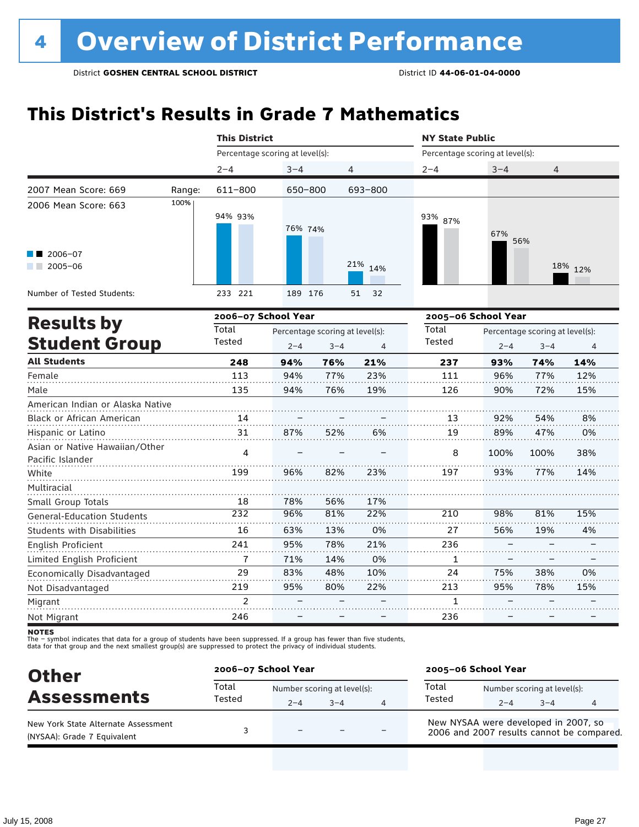### **This District's Results in Grade 7 Mathematics**

|                                                    |        | <b>This District</b>            |         |                                            |                | <b>NY State Public</b>          |         |                                            |         |  |
|----------------------------------------------------|--------|---------------------------------|---------|--------------------------------------------|----------------|---------------------------------|---------|--------------------------------------------|---------|--|
|                                                    |        | Percentage scoring at level(s): |         |                                            |                | Percentage scoring at level(s): |         |                                            |         |  |
|                                                    |        | $2 - 4$                         | $3 - 4$ | 4                                          |                | $2 - 4$                         | $3 - 4$ | 4                                          |         |  |
| 2007 Mean Score: 669                               | Range: | 611-800                         | 650-800 |                                            | 693-800        |                                 |         |                                            |         |  |
| 2006 Mean Score: 663                               | 100%   | 94% 93%                         | 76% 74% |                                            |                | 93% 87%                         | 67%     | 56%                                        |         |  |
| $\blacksquare$ 2006-07<br>$2005 - 06$<br>a sa ta   |        |                                 |         |                                            | 21% 14%        |                                 |         |                                            | 18% 12% |  |
| Number of Tested Students:                         |        | 233 221                         | 189 176 |                                            | 32<br>51       |                                 |         |                                            |         |  |
| <b>Results by</b>                                  |        | 2006-07 School Year<br>Total    |         |                                            |                | 2005-06 School Year             |         |                                            |         |  |
| <b>Student Group</b>                               |        |                                 |         | Percentage scoring at level(s):<br>$3 - 4$ | $\overline{4}$ | Total<br>Tested                 | $2 - 4$ | Percentage scoring at level(s):<br>$3 - 4$ | 4       |  |
| <b>All Students</b>                                |        | 248                             | 94%     | 76%                                        | 21%            | 237                             | 93%     | 74%                                        | 14%     |  |
| Female                                             |        | 113                             | 94%     | 77%                                        | 23%            | 111                             | 96%     | 77%                                        | 12%     |  |
| Male                                               |        | 135                             | 94%     | 76%                                        | 19%            | 126                             | 90%     | 72%                                        | 15%     |  |
| American Indian or Alaska Native                   |        |                                 |         |                                            |                |                                 |         |                                            |         |  |
| Black or African American                          |        | 14                              |         |                                            |                | 13                              | 92%     | 54%                                        | 8%      |  |
| Hispanic or Latino                                 |        | 31                              | 87%     | 52%                                        | 6%             | 19                              | 89%     | 47%                                        | 0%      |  |
| Asian or Native Hawaiian/Other<br>Pacific Islander |        | 4                               |         |                                            |                | 8                               | 100%    | 100%                                       | 38%     |  |
| White                                              |        | 199                             | 96%     | 82%                                        | 23%            | 197                             | 93%     | 77%                                        | 14%     |  |
| Multiracial                                        |        |                                 |         |                                            |                |                                 |         |                                            |         |  |
| Small Group Totals                                 |        | 18                              | 78%     | 56%                                        | 17%            |                                 |         |                                            |         |  |
| <b>General-Education Students</b>                  |        | 232                             | 96%     | 81%                                        | 22%            | 210                             | 98%     | 81%                                        | 15%     |  |
| <b>Students with Disabilities</b>                  |        | 16                              | 63%     | 13%                                        | 0%             | 27                              | 56%     | 19%                                        | 4%      |  |
| English Proficient                                 |        | 241                             | 95%     | 78%                                        | 21%            | 236                             |         |                                            |         |  |
| Limited English Proficient                         |        | 7                               | 71%     | 14%                                        | 0%             | 1                               |         |                                            |         |  |
| Economically Disadvantaged                         |        | 29                              | 83%     | 48%                                        | 10%            | 24                              | 75%     | 38%                                        | 0%      |  |
| Not Disadvantaged                                  |        | 219                             | 95%     | 80%                                        | 22%            | 213                             | 95%     | 78%                                        | 15%     |  |
| Migrant                                            |        | $\overline{c}$                  |         |                                            |                | $\mathbf{1}$                    |         |                                            |         |  |
| Not Migrant                                        |        | 246                             |         |                                            |                | 236                             |         |                                            |         |  |

**NOTES** 

| <b>Other</b>                                                       | 2006-07 School Year |                                        |         |   | 2005-06 School Year                                                               |         |                                        |   |  |
|--------------------------------------------------------------------|---------------------|----------------------------------------|---------|---|-----------------------------------------------------------------------------------|---------|----------------------------------------|---|--|
| <b>Assessments</b>                                                 | Total<br>Tested     | Number scoring at level(s):<br>$2 - 4$ | $3 - 4$ | Δ | Total<br>Tested                                                                   | $2 - 4$ | Number scoring at level(s):<br>$3 - 4$ | 4 |  |
| New York State Alternate Assessment<br>(NYSAA): Grade 7 Equivalent |                     | -                                      |         |   | New NYSAA were developed in 2007, so<br>2006 and 2007 results cannot be compared. |         |                                        |   |  |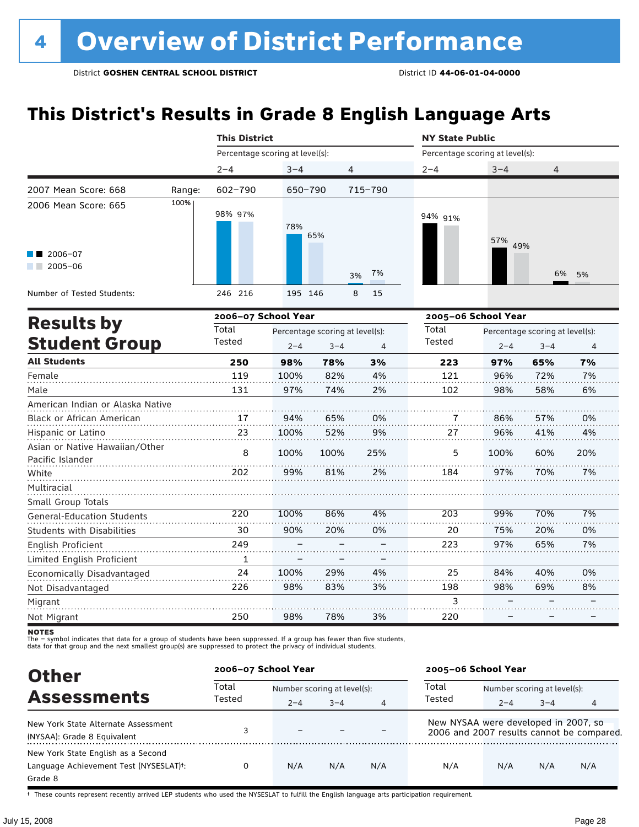## **This District's Results in Grade 8 English Language Arts**

|                                                    |                     |                                 | <b>This District</b> |                                 |          |                                 | <b>NY State Public</b>          |         |     |  |  |
|----------------------------------------------------|---------------------|---------------------------------|----------------------|---------------------------------|----------|---------------------------------|---------------------------------|---------|-----|--|--|
|                                                    |                     | Percentage scoring at level(s): |                      |                                 |          | Percentage scoring at level(s): |                                 |         |     |  |  |
|                                                    |                     | $2 - 4$                         | $3 - 4$              |                                 | 4        | $2 - 4$                         | $3 - 4$                         | 4       |     |  |  |
| 2007 Mean Score: 668                               | Range:              | 602-790                         | 650-790              |                                 | 715-790  |                                 |                                 |         |     |  |  |
| 2006 Mean Score: 665                               | 100%                | 98% 97%                         | 78%                  | 65%                             |          | 94% 91%                         | 57%<br>49%                      |         |     |  |  |
| $\blacksquare$ 2006-07<br>$\blacksquare$ 2005-06   |                     |                                 |                      |                                 | 7%<br>3% |                                 |                                 | 6%      | 5%  |  |  |
| Number of Tested Students:                         |                     | 246 216                         | 195 146              |                                 | 8<br>15  |                                 |                                 |         |     |  |  |
|                                                    | 2006-07 School Year |                                 |                      |                                 |          | 2005-06 School Year             |                                 |         |     |  |  |
| <b>Results by</b>                                  |                     | Total                           |                      | Percentage scoring at level(s): |          | Total                           | Percentage scoring at level(s): |         |     |  |  |
| <b>Student Group</b>                               |                     | Tested                          | $2 - 4$              | $3 - 4$                         | 4        | Tested                          | $2 - 4$                         | $3 - 4$ | 4   |  |  |
| <b>All Students</b>                                |                     | 250                             | 98%                  | 78%                             | 3%       | 223                             | 97%                             | 65%     | 7%  |  |  |
| Female                                             |                     | 119                             | 100%                 | 82%                             | 4%       | 121                             | 96%                             | 72%     | 7%  |  |  |
| Male                                               |                     | 131                             | 97%                  | 74%                             | 2%       | 102                             | 98%                             | 58%     | 6%  |  |  |
| American Indian or Alaska Native                   |                     |                                 |                      |                                 |          |                                 |                                 |         |     |  |  |
| Black or African American                          |                     | 17                              | 94%                  | 65%                             | 0%       |                                 | 86%                             | 57%     | 0%  |  |  |
| Hispanic or Latino                                 |                     | 23                              | 100%                 | 52%                             | 9%       | 27                              | 96%                             | 41%     | 4%  |  |  |
| Asian or Native Hawaiian/Other<br>Pacific Islander |                     | 8                               | 100%                 | 100%                            | 25%      | 5                               | 100%                            | 60%     | 20% |  |  |
| White                                              |                     | 202                             | 99%                  | 81%                             | 2%       | 184                             | 97%                             | 70%     | 7%  |  |  |
| Multiracial                                        |                     |                                 |                      |                                 |          |                                 |                                 |         |     |  |  |
| Small Group Totals                                 |                     |                                 |                      |                                 |          |                                 |                                 |         |     |  |  |
| <b>General-Education Students</b>                  |                     | 220                             | 100%                 | 86%                             | 4%       | 203                             | 99%                             | 70%     | 7%  |  |  |
| <b>Students with Disabilities</b>                  |                     | 30                              | 90%                  | 20%                             | 0%       | 20                              | 75%                             | 20%     | 0%  |  |  |
| English Proficient                                 |                     | 249                             |                      |                                 |          | 223                             | 97%                             | 65%     | 7%  |  |  |
| Limited English Proficient                         |                     | 1                               |                      |                                 |          |                                 |                                 |         |     |  |  |
| Economically Disadvantaged                         |                     | 24                              | 100%                 | 29%                             | 4%       | 25                              | 84%                             | 40%     | 0%  |  |  |
| Not Disadvantaged                                  |                     | 226                             | 98%                  | 83%                             | 3%       | 198                             | 98%                             | 69%     | 8%  |  |  |
| Migrant                                            |                     |                                 |                      |                                 |          | 3                               |                                 |         |     |  |  |
| Not Migrant                                        |                     | 250                             | 98%                  | 78%                             | 3%       | 220                             |                                 |         |     |  |  |

**NOTES** 

The – symbol indicates that data for a group of students have been suppressed. If a group has fewer than five students,<br>data for that group and the next smallest group(s) are suppressed to protect the privacy of individual

| <b>Other</b>                                                                                         | 2006-07 School Year |                             |         |     | 2005-06 School Year                  |                             |         |                                           |
|------------------------------------------------------------------------------------------------------|---------------------|-----------------------------|---------|-----|--------------------------------------|-----------------------------|---------|-------------------------------------------|
|                                                                                                      | Total<br>Tested     | Number scoring at level(s): |         |     | Total                                | Number scoring at level(s): |         |                                           |
| <b>Assessments</b>                                                                                   |                     | $2 - 4$                     | $3 - 4$ | 4   | Tested                               | $2 - 4$                     | $3 - 4$ | 4                                         |
| New York State Alternate Assessment<br>(NYSAA): Grade 8 Equivalent                                   |                     | $\overline{\phantom{0}}$    |         |     | New NYSAA were developed in 2007, so |                             |         | 2006 and 2007 results cannot be compared. |
| New York State English as a Second<br>Language Achievement Test (NYSESLAT) <sup>+</sup> :<br>Grade 8 |                     | N/A                         | N/A     | N/A | N/A                                  | N/A                         | N/A     | N/A                                       |

† These counts represent recently arrived LEP students who used the NYSESLAT to fulfill the English language arts participation requirement.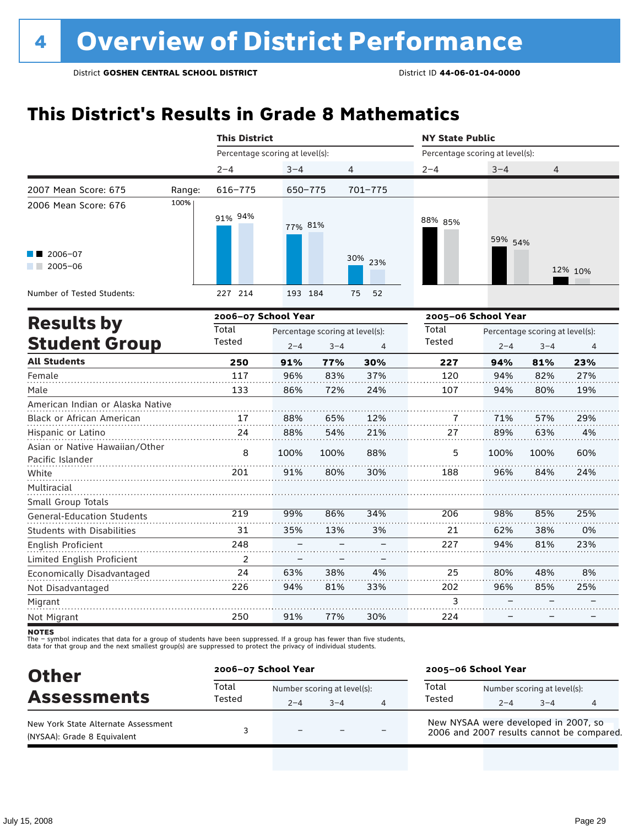### **This District's Results in Grade 8 Mathematics**

|                                                    |        | <b>This District</b>            |                                            |         |             | <b>NY State Public</b>          |         |                                            |         |  |
|----------------------------------------------------|--------|---------------------------------|--------------------------------------------|---------|-------------|---------------------------------|---------|--------------------------------------------|---------|--|
|                                                    |        | Percentage scoring at level(s): |                                            |         |             | Percentage scoring at level(s): |         |                                            |         |  |
|                                                    |        | $2 - 4$                         | $3 - 4$                                    |         | 4           | $2 - 4$                         | $3 - 4$ | $\overline{4}$                             |         |  |
| 2007 Mean Score: 675                               | Range: | 616-775                         | 650-775                                    |         | $701 - 775$ |                                 |         |                                            |         |  |
| 2006 Mean Score: 676                               | 100%   | 91% 94%                         | 77% 81%                                    |         |             | 88% 85%                         | 59% 54% |                                            |         |  |
| $\blacksquare$ 2006-07<br>$2005 - 06$              |        |                                 |                                            |         | 30% 23%     |                                 |         |                                            | 12% 10% |  |
| Number of Tested Students:                         |        | 227 214                         | 193 184                                    |         | 52<br>75    |                                 |         |                                            |         |  |
|                                                    |        | 2006-07 School Year             |                                            |         |             | 2005-06 School Year             |         |                                            |         |  |
| <b>Results by</b><br><b>Student Group</b>          |        | Total<br>Tested                 | Percentage scoring at level(s):<br>$2 - 4$ | $3 - 4$ | 4           | Total<br>Tested                 | $2 - 4$ | Percentage scoring at level(s):<br>$3 - 4$ | 4       |  |
| <b>All Students</b>                                |        | 250                             | 91%                                        | 77%     | 30%         | 227                             | 94%     | 81%                                        | 23%     |  |
| Female                                             |        | 117                             | 96%                                        | 83%     | 37%         | 120                             | 94%     | 82%                                        | 27%     |  |
| Male                                               |        | 133                             | 86%                                        | 72%     | 24%         | 107                             | 94%     | 80%                                        | 19%     |  |
| American Indian or Alaska Native                   |        |                                 |                                            |         |             |                                 |         |                                            |         |  |
| Black or African American                          |        | 17                              | 88%                                        | 65%     | 12%         | 7                               | 71%     | 57%                                        | 29%     |  |
| Hispanic or Latino                                 |        | 24                              | 88%                                        | 54%     | 21%         | 27                              | 89%     | 63%                                        | 4%      |  |
| Asian or Native Hawaiian/Other<br>Pacific Islander |        | 8                               | 100%                                       | 100%    | 88%         | 5                               | 100%    | 100%                                       | 60%     |  |
| White                                              |        | 201                             | 91%                                        | 80%     | 30%         | 188                             | 96%     | 84%                                        | 24%     |  |
| Multiracial                                        |        |                                 |                                            |         |             |                                 |         |                                            |         |  |
| Small Group Totals                                 |        |                                 |                                            |         |             |                                 |         |                                            |         |  |
| General-Education Students                         |        | 219                             | 99%                                        | 86%     | 34%         | 206                             | 98%     | 85%                                        | 25%     |  |
| <b>Students with Disabilities</b>                  |        | 31                              | 35%                                        | 13%     | 3%          | 21                              | 62%     | 38%                                        | 0%      |  |
| English Proficient                                 |        | 248                             |                                            |         |             | 227                             | 94%     | 81%                                        | 23%     |  |
| Limited English Proficient                         |        | $\overline{2}$                  |                                            |         |             |                                 |         |                                            |         |  |
| Economically Disadvantaged                         |        | 24                              | 63%                                        | 38%     | 4%          | 25                              | 80%     | 48%                                        | 8%      |  |
| Not Disadvantaged                                  |        | 226                             | 94%                                        | 81%     | 33%         | 202                             | 96%     | 85%                                        | 25%     |  |
| Migrant                                            |        |                                 |                                            |         |             | 3                               |         |                                            |         |  |
| Not Migrant                                        |        | 250                             | 91%                                        | 77%     | 30%         | 224                             |         |                                            |         |  |

**NOTES** 

| <b>Other</b>                                                       | 2006-07 School Year |                                        |         |   | 2005-06 School Year                                                               |         |                                        |   |  |
|--------------------------------------------------------------------|---------------------|----------------------------------------|---------|---|-----------------------------------------------------------------------------------|---------|----------------------------------------|---|--|
| <b>Assessments</b>                                                 | Total<br>Tested     | Number scoring at level(s):<br>$2 - 4$ | $3 - 4$ | 4 | Total<br>Tested                                                                   | $2 - 4$ | Number scoring at level(s):<br>$3 - 4$ | 4 |  |
| New York State Alternate Assessment<br>(NYSAA): Grade 8 Equivalent |                     | $\overline{\phantom{0}}$               |         |   | New NYSAA were developed in 2007, so<br>2006 and 2007 results cannot be compared. |         |                                        |   |  |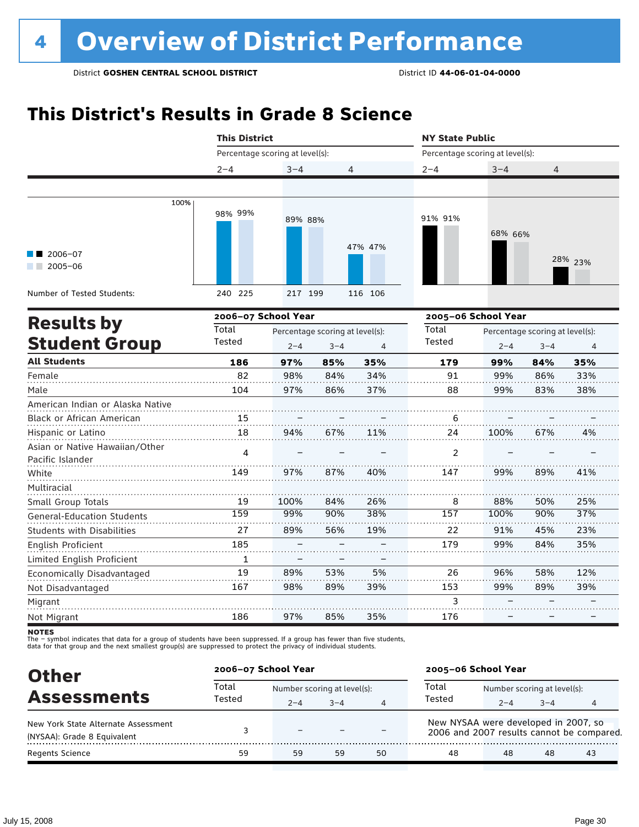### **This District's Results in Grade 8 Science**

|                                                    | <b>This District</b>            |         |                                            | <b>NY State Public</b> |                                 |                     |                                            |                |
|----------------------------------------------------|---------------------------------|---------|--------------------------------------------|------------------------|---------------------------------|---------------------|--------------------------------------------|----------------|
|                                                    | Percentage scoring at level(s): |         |                                            |                        | Percentage scoring at level(s): |                     |                                            |                |
|                                                    | $2 - 4$                         | $3 - 4$ | 4                                          |                        | $2 - 4$                         | $3 - 4$             | 4                                          |                |
|                                                    |                                 |         |                                            |                        |                                 |                     |                                            |                |
| 100%                                               | 98% 99%                         | 89% 88% |                                            |                        | 91% 91%                         | 68% 66%             |                                            |                |
| 2006-07<br>$2005 - 06$                             |                                 |         |                                            | 47% 47%                |                                 |                     |                                            | 28% 23%        |
| Number of Tested Students:                         | 240 225                         | 217 199 |                                            | 116 106                |                                 |                     |                                            |                |
|                                                    | 2006-07 School Year             |         |                                            |                        |                                 | 2005-06 School Year |                                            |                |
| <b>Results by</b><br><b>Student Group</b>          | Total<br>Tested                 | $2 - 4$ | Percentage scoring at level(s):<br>$3 - 4$ | $\overline{4}$         | Total<br>Tested                 | $2 - 4$             | Percentage scoring at level(s):<br>$3 - 4$ | $\overline{4}$ |
| <b>All Students</b>                                | 186                             | 97%     | 85%                                        | 35%                    | 179                             | 99%                 | 84%                                        | 35%            |
| Female                                             | 82                              | 98%     | 84%                                        | 34%                    | 91                              | 99%                 | 86%                                        | 33%            |
| Male                                               | 104                             | 97%     | 86%                                        | 37%                    | 88                              | 99%                 | 83%                                        | 38%            |
| American Indian or Alaska Native                   |                                 |         |                                            |                        |                                 |                     |                                            |                |
| Black or African American                          | 15                              |         |                                            |                        | 6                               |                     |                                            |                |
| Hispanic or Latino                                 | 18                              | 94%     | 67%                                        | 11%                    | 24                              | 100%                | 67%                                        | 4%             |
| Asian or Native Hawaiian/Other<br>Pacific Islander | 4                               |         |                                            |                        | 2                               |                     |                                            |                |
| White                                              | 149                             | 97%     | 87%                                        | 40%                    | 147                             | 99%                 | 89%                                        | 41%            |
| Multiracial<br>Small Group Totals                  | 19                              | 100%    | 84%                                        | 26%                    | 8                               | 88%                 | 50%                                        | 25%            |
| <b>General-Education Students</b>                  | 159                             | 99%     | 90%                                        | 38%                    | 157                             | 100%                | 90%                                        | 37%            |
| Students with Disabilities                         | 27                              | 89%     | 56%                                        | 19%                    | 22                              | 91%                 | 45%                                        | 23%            |
| English Proficient                                 | 185                             |         |                                            |                        | 179                             | 99%                 | 84%                                        | 35%            |
| Limited English Proficient                         | 1                               |         |                                            |                        |                                 |                     |                                            |                |
| Economically Disadvantaged                         | 19                              | 89%     | 53%                                        | 5%                     | 26                              | 96%                 | 58%                                        | 12%            |
| Not Disadvantaged                                  | 167                             | 98%     | 89%                                        | 39%                    | 153                             | 99%                 | 89%                                        | 39%            |
| Migrant                                            |                                 |         |                                            |                        | 3                               |                     |                                            |                |
| Not Migrant                                        | 186                             | 97%     | 85%                                        | 35%                    | 176                             |                     |                                            |                |

**NOTES** 

| <b>Other</b>                                                       | 2006-07 School Year |                             |         |    | 2005-06 School Year                                                               |                             |         |    |
|--------------------------------------------------------------------|---------------------|-----------------------------|---------|----|-----------------------------------------------------------------------------------|-----------------------------|---------|----|
| <b>Assessments</b>                                                 | Total<br>Tested     | Number scoring at level(s): |         |    | Total                                                                             | Number scoring at level(s): |         |    |
|                                                                    |                     | $2 - 4$                     | $3 - 4$ | 4  | Tested                                                                            | $2 - 4$                     | $3 - 4$ | 4  |
| New York State Alternate Assessment<br>(NYSAA): Grade 8 Equivalent |                     | $\overline{\phantom{0}}$    |         |    | New NYSAA were developed in 2007, so<br>2006 and 2007 results cannot be compared. |                             |         |    |
| <b>Regents Science</b>                                             | 59                  | 59                          | 59      | 50 | 48                                                                                | 48                          | 48      | 43 |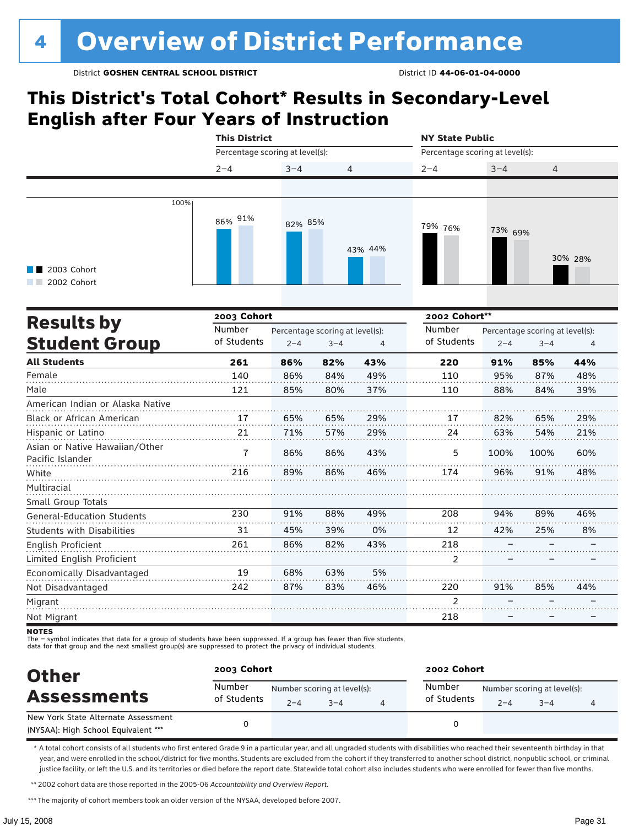### **This District's Total Cohort\* Results in Secondary-Level English after Four Years of Instruction**

|                                                    | <b>This District</b>            |                                 |         |         | <b>NY State Public</b>          |         |                                 |         |  |
|----------------------------------------------------|---------------------------------|---------------------------------|---------|---------|---------------------------------|---------|---------------------------------|---------|--|
|                                                    | Percentage scoring at level(s): |                                 |         |         | Percentage scoring at level(s): |         |                                 |         |  |
|                                                    | $2 - 4$                         | $3 - 4$                         | 4       |         | $2 - 4$                         | $3 - 4$ | 4                               |         |  |
|                                                    |                                 |                                 |         |         |                                 |         |                                 |         |  |
| 100%                                               | 86% 91%                         | 82% 85%                         |         |         | 79% 76%                         | 73% 69% |                                 |         |  |
| 2003 Cohort<br>2002 Cohort                         |                                 |                                 |         | 43% 44% |                                 |         |                                 | 30% 28% |  |
| <b>Results by</b>                                  | 2003 Cohort                     |                                 |         |         | 2002 Cohort**                   |         |                                 |         |  |
|                                                    | Number                          | Percentage scoring at level(s): |         |         | Number                          |         | Percentage scoring at level(s): |         |  |
| <b>Student Group</b>                               | of Students                     | $2 - 4$                         | $3 - 4$ | 4       | of Students                     | $2 - 4$ | $3 - 4$                         | 4       |  |
| <b>All Students</b>                                | 261                             | 86%                             | 82%     | 43%     | 220                             | 91%     | 85%                             | 44%     |  |
| Female                                             | 140                             | 86%                             | 84%     | 49%     | 110                             | 95%     | 87%                             | 48%     |  |
| Male                                               | 121                             | 85%                             | 80%     | 37%     | 110                             | 88%     | 84%                             | 39%     |  |
| American Indian or Alaska Native                   |                                 |                                 |         |         |                                 |         |                                 |         |  |
| Black or African American                          | 17                              | 65%                             | 65%     | 29%     | 17                              | 82%     | 65%                             | 29%     |  |
| Hispanic or Latino                                 | 21                              | 71%                             | 57%     | 29%     | 24                              | 63%     | 54%                             | 21%     |  |
| Asian or Native Hawaiian/Other<br>Pacific Islander | $\overline{7}$                  | 86%                             | 86%     | 43%     | 5                               | 100%    | 100%                            | 60%     |  |
| White                                              | 216                             | 89%                             | 86%     | 46%     | 174                             | 96%     | 91%                             | 48%     |  |
| Multiracial                                        |                                 |                                 |         |         |                                 |         |                                 |         |  |
| Small Group Totals                                 |                                 |                                 |         |         |                                 |         |                                 |         |  |
| General-Education Students                         | 230                             | 91%                             | 88%     | 49%     | 208                             | 94%     | 89%                             | 46%     |  |
| <b>Students with Disabilities</b>                  | 31                              | 45%                             | 39%     | 0%      | 12                              | 42%     | 25%                             | 8%      |  |
| English Proficient                                 | 261                             | 86%                             | 82%     | 43%     | 218                             |         |                                 |         |  |
| Limited English Proficient                         |                                 |                                 |         |         | 2                               |         |                                 |         |  |
| Economically Disadvantaged                         | 19                              | 68%                             | 63%     | 5%      |                                 |         |                                 |         |  |
| Not Disadvantaged                                  | 242                             | 87%                             | 83%     | 46%     | 220                             | 91%     | 85%                             | 44%     |  |
| Migrant                                            |                                 |                                 |         |         | $\overline{2}$                  |         |                                 |         |  |
| Not Migrant                                        |                                 |                                 |         |         | 218                             |         |                                 |         |  |

**NOTES** 

The – symbol indicates that data for a group of students have been suppressed. If a group has fewer than five students,<br>data for that group and the next smallest group(s) are suppressed to protect the privacy of individual

| <b>Other</b>                                                               | 2003 Cohort           |                                        |         | 2002 Cohort           |                                        |         |  |  |
|----------------------------------------------------------------------------|-----------------------|----------------------------------------|---------|-----------------------|----------------------------------------|---------|--|--|
| <b>Assessments</b>                                                         | Number<br>of Students | Number scoring at level(s):<br>$2 - 4$ | $3 - 4$ | Number<br>of Students | Number scoring at level(s):<br>$2 - 4$ | $3 - 4$ |  |  |
| New York State Alternate Assessment<br>(NYSAA): High School Equivalent *** |                       |                                        |         |                       |                                        |         |  |  |

\* A total cohort consists of all students who first entered Grade 9 in a particular year, and all ungraded students with disabilities who reached their seventeenth birthday in that year, and were enrolled in the school/district for five months. Students are excluded from the cohort if they transferred to another school district, nonpublic school, or criminal justice facility, or left the U.S. and its territories or died before the report date. Statewide total cohort also includes students who were enrolled for fewer than five months.

\*\*2002 cohort data are those reported in the 2005-06 *Accountability and Overview Report*.

\*\*\* The majority of cohort members took an older version of the NYSAA, developed before 2007.